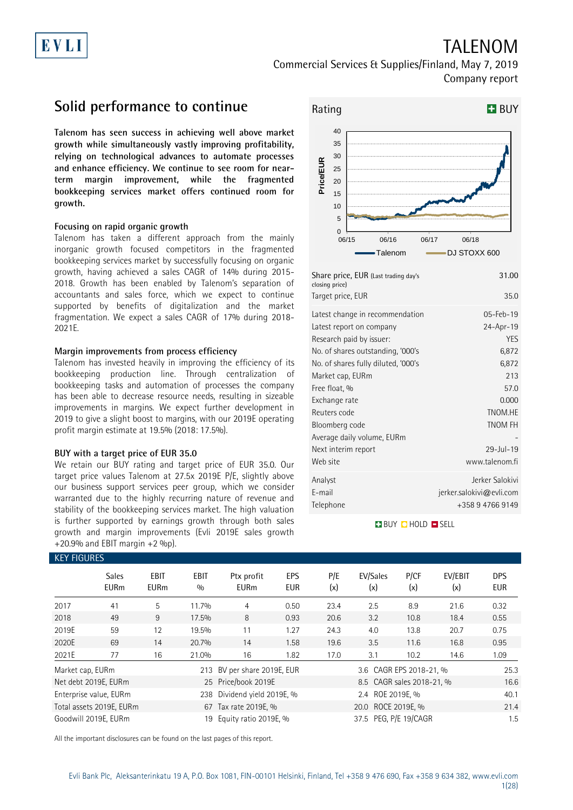# EVLI

## TALENOM Commercial Services & Supplies/Finland, May 7, 2019 Company report

## **Solid performance to continue**

**Talenom has seen success in achieving well above market growth while simultaneously vastly improving profitability, relying on technological advances to automate processes and enhance efficiency. We continue to see room for nearterm margin improvement, while the fragmented bookkeeping services market offers continued room for growth.**

### **Focusing on rapid organic growth**

Talenom has taken a different approach from the mainly inorganic growth focused competitors in the fragmented bookkeeping services market by successfully focusing on organic growth, having achieved a sales CAGR of 14% during 2015- 2018. Growth has been enabled by Talenom's separation of accountants and sales force, which we expect to continue supported by benefits of digitalization and the market fragmentation. We expect a sales CAGR of 17% during 2018- 2021E.

### **Margin improvements from process efficiency**

Talenom has invested heavily in improving the efficiency of its bookkeeping production line. Through centralization of bookkeeping tasks and automation of processes the company has been able to decrease resource needs, resulting in sizeable improvements in margins. We expect further development in 2019 to give a slight boost to margins, with our 2019E operating profit margin estimate at 19.5% (2018: 17.5%).

#### **BUY with a target price of EUR 35.0**

We retain our BUY rating and target price of EUR 35.0. Our target price values Talenom at 27.5x 2019E P/E, slightly above our business support services peer group, which we consider warranted due to the highly recurring nature of revenue and stability of the bookkeeping services market. The high valuation is further supported by earnings growth through both sales growth and margin improvements (Evli 2019E sales growth  $+20.9%$  and EBIT margin  $+2%$  %p).



| Rating           |    |       |                                      |       |              | <b>H</b> BUY |
|------------------|----|-------|--------------------------------------|-------|--------------|--------------|
|                  | 40 |       |                                      |       |              |              |
|                  | 35 |       |                                      |       |              |              |
|                  | 30 |       |                                      |       |              |              |
|                  | 25 |       |                                      |       |              |              |
| <b>Price/EUR</b> | 20 |       |                                      |       |              |              |
|                  | 15 |       |                                      |       |              |              |
|                  | 10 |       |                                      |       |              |              |
|                  | 5  |       |                                      |       |              |              |
|                  | 0  |       |                                      |       |              |              |
|                  |    | 06/15 | 06/16                                | 06/17 | 06/18        |              |
|                  |    |       | Talenom                              |       | DJ STOXX 600 |              |
|                  |    |       | Share price, EUR (Last trading day's |       |              | 31.00        |

| 35.0                     |
|--------------------------|
| $05 - Feb - 19$          |
| 24-Apr-19                |
| <b>YES</b>               |
| 6,872                    |
| 6,872                    |
| 213                      |
| 57.0                     |
| 0.000                    |
| TNOM.HE                  |
| <b>TNOM FH</b>           |
|                          |
| $29 - 11 - 19$           |
| www.talenom.fi           |
| Jerker Salokivi          |
| jerker.salokivi@evli.com |
| +358 9 4766 9149         |
|                          |

### **BUY QHOLD SELL**

| <b>KEY FIGURES</b> |                             |                            |                    |                             |                   |                       |                           |             |                |                          |  |  |
|--------------------|-----------------------------|----------------------------|--------------------|-----------------------------|-------------------|-----------------------|---------------------------|-------------|----------------|--------------------------|--|--|
|                    | <b>Sales</b><br><b>EURm</b> | <b>EBIT</b><br><b>EURm</b> | <b>EBIT</b><br>0/0 | Ptx profit<br><b>EURm</b>   | EPS<br><b>EUR</b> | P/E<br>(x)            | EV/Sales<br>(x)           | P/CF<br>(x) | EV/EBIT<br>(x) | <b>DPS</b><br><b>EUR</b> |  |  |
| 2017               | 41                          | 5                          | 11.7%              | 4                           | 0.50              | 23.4                  | 2.5                       | 8.9         | 21.6           | 0.32                     |  |  |
| 2018               | 49                          | 9                          | 17.5%              | 8                           | 0.93              | 20.6                  | 3.2                       | 10.8        | 18.4           | 0.55                     |  |  |
| 2019E              | 59                          | 12                         | 19.5%              | 11                          | 1.27              | 24.3                  | 4.0                       | 13.8        | 20.7           | 0.75                     |  |  |
| 2020E              | 69                          | 14                         | 20.7%              | 14                          | 1.58              | 19.6                  | 3.5                       | 11.6        | 16.8           | 0.95                     |  |  |
| 2021E              | 77                          | 16                         | 21.0%              | 16                          | 1.82              | 17.0                  | 3.1                       | 10.2        | 14.6           | 1.09                     |  |  |
| Market cap, EURm   |                             |                            |                    | 213 BV per share 2019E, EUR |                   |                       | 3.6 CAGR EPS 2018-21, %   |             |                | 25.3                     |  |  |
|                    | Net debt 2019E, EURm        |                            |                    | 25 Price/book 2019E         |                   |                       | 8.5 CAGR sales 2018-21, % |             | 16.6           |                          |  |  |
|                    | Enterprise value, EURm      |                            |                    | 238 Dividend yield 2019E, % |                   |                       | 2.4 ROE 2019E, %          |             |                | 40.1                     |  |  |
|                    | Total assets 2019E, EURm    |                            |                    | 67 Tax rate 2019E, %        |                   |                       | 20.0 ROCE 2019E, %        |             |                | 21.4                     |  |  |
|                    | Goodwill 2019E, EURm        |                            | 19                 | Equity ratio 2019E, %       |                   | 37.5 PEG, P/E 19/CAGR |                           |             |                | 1.5                      |  |  |

All the important disclosures can be found on the last pages of this report.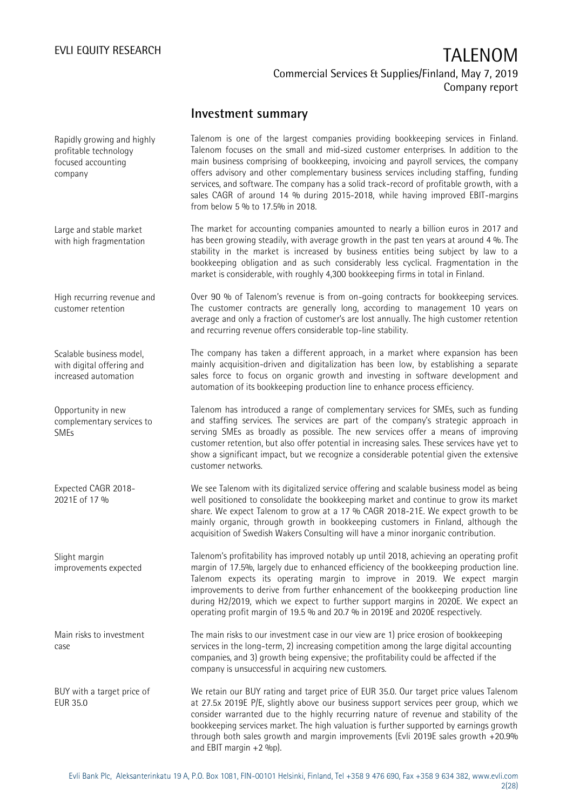## **Investment summary**

Talenom is one of the largest companies providing bookkeeping services in Finland. Talenom focuses on the small and mid-sized customer enterprises. In addition to the main business comprising of bookkeeping, invoicing and payroll services, the company offers advisory and other complementary business services including staffing, funding services, and software. The company has a solid track-record of profitable growth, with a sales CAGR of around 14 % during 2015-2018, while having improved EBIT-margins from below 5 % to 17.5% in 2018. The market for accounting companies amounted to nearly a billion euros in 2017 and has been growing steadily, with average growth in the past ten years at around 4 %. The stability in the market is increased by business entities being subject by law to a bookkeeping obligation and as such considerably less cyclical. Fragmentation in the market is considerable, with roughly 4,300 bookkeeping firms in total in Finland. Over 90 % of Talenom's revenue is from on-going contracts for bookkeeping services. The customer contracts are generally long, according to management 10 years on average and only a fraction of customer's are lost annually. The high customer retention and recurring revenue offers considerable top-line stability. The company has taken a different approach, in a market where expansion has been mainly acquisition-driven and digitalization has been low, by establishing a separate sales force to focus on organic growth and investing in software development and automation of its bookkeeping production line to enhance process efficiency. Talenom has introduced a range of complementary services for SMEs, such as funding and staffing services. The services are part of the company's strategic approach in serving SMEs as broadly as possible. The new services offer a means of improving customer retention, but also offer potential in increasing sales. These services have yet to show a significant impact, but we recognize a considerable potential given the extensive customer networks. We see Talenom with its digitalized service offering and scalable business model as being well positioned to consolidate the bookkeeping market and continue to grow its market share. We expect Talenom to grow at a 17 % CAGR 2018-21E. We expect growth to be mainly organic, through growth in bookkeeping customers in Finland, although the acquisition of Swedish Wakers Consulting will have a minor inorganic contribution. Talenom's profitability has improved notably up until 2018, achieving an operating profit margin of 17.5%, largely due to enhanced efficiency of the bookkeeping production line. Talenom expects its operating margin to improve in 2019. We expect margin improvements to derive from further enhancement of the bookkeeping production line during H2/2019, which we expect to further support margins in 2020E. We expect an operating profit margin of 19.5 % and 20.7 % in 2019E and 2020E respectively. The main risks to our investment case in our view are 1) price erosion of bookkeeping services in the long-term, 2) increasing competition among the large digital accounting companies, and 3) growth being expensive; the profitability could be affected if the company is unsuccessful in acquiring new customers. We retain our BUY rating and target price of EUR 35.0. Our target price values Talenom at 27.5x 2019E P/E, slightly above our business support services peer group, which we consider warranted due to the highly recurring nature of revenue and stability of the bookkeeping services market. The high valuation is further supported by earnings growth through both sales growth and margin improvements (Evli 2019E sales growth +20.9% and EBIT margin  $+2$  %p). Rapidly growing and highly profitable technology focused accounting company Large and stable market with high fragmentation High recurring revenue and customer retention Scalable business model, with digital offering and increased automation Opportunity in new complementary services to SMEs Expected CAGR 2018- 2021E of 17 % Slight margin improvements expected Main risks to investment case BUY with a target price of EUR 35.0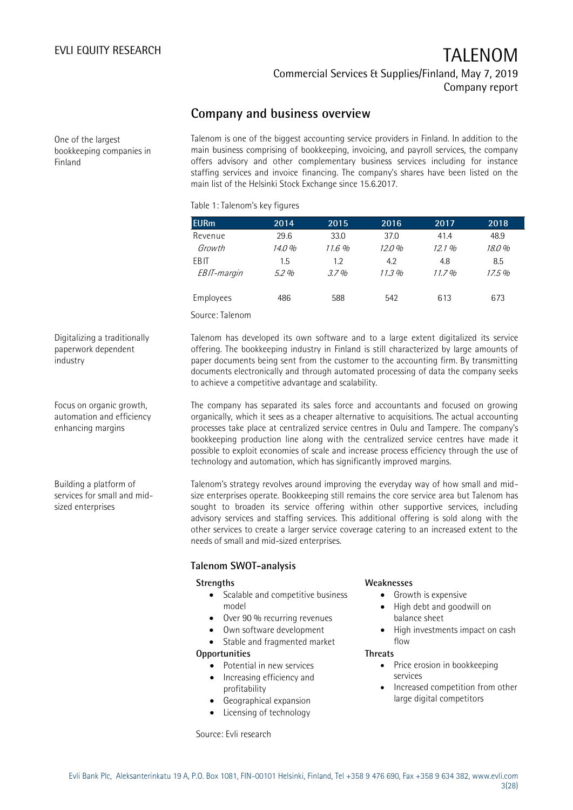Commercial Services & Supplies/Finland, May 7, 2019 Company report

## **Company and business overview**

One of the largest bookkeeping companies in Finland

Talenom is one of the biggest accounting service providers in Finland. In addition to the main business comprising of bookkeeping, invoicing, and payroll services, the company offers advisory and other complementary business services including for instance staffing services and invoice financing. The company's shares have been listed on the main list of the Helsinki Stock Exchange since 15.6.2017.

### Table 1: Talenom's key figures

| <b>EURm</b> | 2014   | 2015  | 2016  | 2017  | 2018  |
|-------------|--------|-------|-------|-------|-------|
| Revenue     | 29.6   | 33.0  | 37.0  | 41.4  | 48.9  |
| Growth      | 14.0 % | 11.6% | 12.0% | 12.1% | 18.0% |
| EB IT       | 1.5    | 1.2   | 4.2   | 4.8   | 8.5   |
| EBIT-margin | 5.2%   | 3.7%  | 11.3% | 11.7% | 17.5% |
| Employees   | 486    | 588   | 542   | 613   | 673   |
|             |        |       |       |       |       |

Source: Talenom

Digitalizing a traditionally paperwork dependent industry

Focus on organic growth, automation and efficiency enhancing margins

Building a platform of services for small and midsized enterprises

Talenom has developed its own software and to a large extent digitalized its service offering. The bookkeeping industry in Finland is still characterized by large amounts of paper documents being sent from the customer to the accounting firm. By transmitting documents electronically and through automated processing of data the company seeks to achieve a competitive advantage and scalability.

The company has separated its sales force and accountants and focused on growing organically, which it sees as a cheaper alternative to acquisitions. The actual accounting processes take place at centralized service centres in Oulu and Tampere. The company's bookkeeping production line along with the centralized service centres have made it possible to exploit economies of scale and increase process efficiency through the use of technology and automation, which has significantly improved margins.

Talenom's strategy revolves around improving the everyday way of how small and midsize enterprises operate. Bookkeeping still remains the core service area but Talenom has sought to broaden its service offering within other supportive services, including advisory services and staffing services. This additional offering is sold along with the other services to create a larger service coverage catering to an increased extent to the needs of small and mid-sized enterprises.

### **Talenom SWOT-analysis**

#### **Strengths**

- Scalable and competitive business model
- Over 90 % recurring revenues
- Own software development
- Stable and fragmented market

### **Opportunities**

- Potential in new services
- Increasing efficiency and profitability
- Geographical expansion
- Licensing of technology

Source: Evli research

#### **Weaknesses**

- Growth is expensive
- High debt and goodwill on balance sheet
- High investments impact on cash flow

#### **Threats**

- Price erosion in bookkeeping services
- Increased competition from other large digital competitors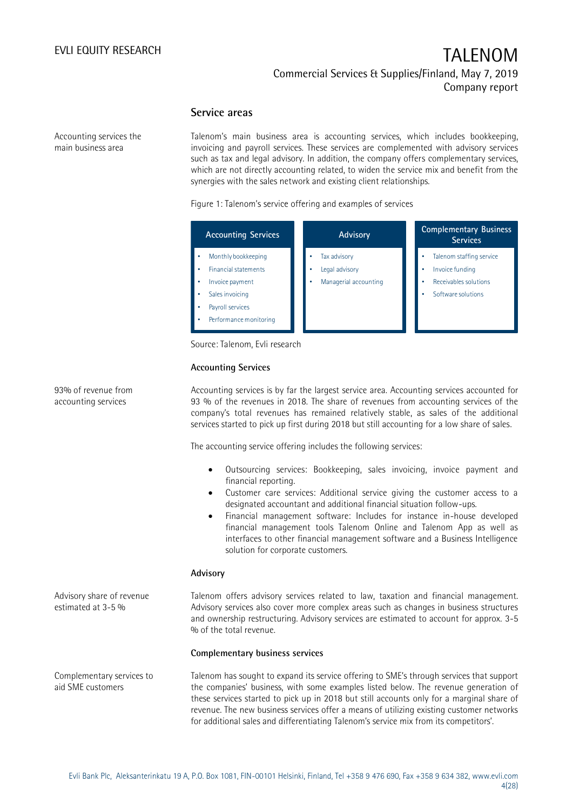### **Service areas**

Accounting services the main business area

Talenom's main business area is accounting services, which includes bookkeeping, invoicing and payroll services. These services are complemented with advisory services such as tax and legal advisory. In addition, the company offers complementary services, which are not directly accounting related, to widen the service mix and benefit from the synergies with the sales network and existing client relationships.

#### Figure 1: Talenom's service offering and examples of services

| <b>Accounting Services</b>                                                                                                             | <b>Advisory</b>                                         | <b>Complementary Business</b><br><b>Services</b>                                                  |
|----------------------------------------------------------------------------------------------------------------------------------------|---------------------------------------------------------|---------------------------------------------------------------------------------------------------|
| Monthly bookkeeping<br><b>Financial statements</b><br>Invoice payment<br>Sales invoicing<br>Payroll services<br>Performance monitoring | Tax advisory<br>Legal advisory<br>Managerial accounting | Talenom staffing service<br>Invoice funding<br><b>Receivables solutions</b><br>Software solutions |

Source: Talenom, Evli research

### **Accounting Services**

Accounting services is by far the largest service area. Accounting services accounted for 93 % of the revenues in 2018. The share of revenues from accounting services of the company's total revenues has remained relatively stable, as sales of the additional services started to pick up first during 2018 but still accounting for a low share of sales.

The accounting service offering includes the following services:

- Outsourcing services: Bookkeeping, sales invoicing, invoice payment and financial reporting.
- Customer care services: Additional service giving the customer access to a designated accountant and additional financial situation follow-ups.
- Financial management software: Includes for instance in-house developed financial management tools Talenom Online and Talenom App as well as interfaces to other financial management software and a Business Intelligence solution for corporate customers.

#### **Advisory**

Talenom offers advisory services related to law, taxation and financial management. Advisory services also cover more complex areas such as changes in business structures and ownership restructuring. Advisory services are estimated to account for approx. 3-5 % of the total revenue.

#### **Complementary business services**

Talenom has sought to expand its service offering to SME's through services that support the companies' business, with some examples listed below. The revenue generation of these services started to pick up in 2018 but still accounts only for a marginal share of revenue. The new business services offer a means of utilizing existing customer networks for additional sales and differentiating Talenom's service mix from its competitors'.

93% of revenue from accounting services

Advisory share of revenue estimated at 3-5 %

Complementary services to aid SME customers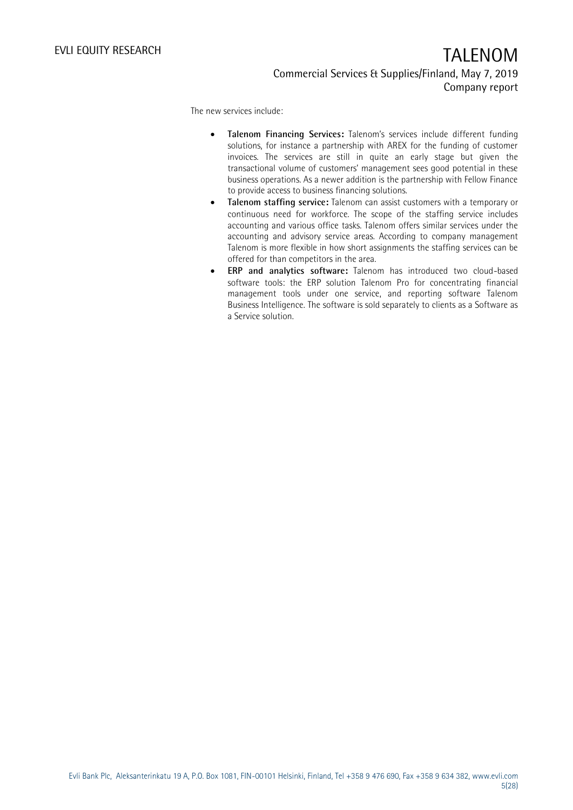The new services include:

- **Talenom Financing Services:** Talenom's services include different funding solutions, for instance a partnership with AREX for the funding of customer invoices. The services are still in quite an early stage but given the transactional volume of customers' management sees good potential in these business operations. As a newer addition is the partnership with Fellow Finance to provide access to business financing solutions.
- **Talenom staffing service:** Talenom can assist customers with a temporary or continuous need for workforce. The scope of the staffing service includes accounting and various office tasks. Talenom offers similar services under the accounting and advisory service areas. According to company management Talenom is more flexible in how short assignments the staffing services can be offered for than competitors in the area.
- **ERP and analytics software:** Talenom has introduced two cloud-based software tools: the ERP solution Talenom Pro for concentrating financial management tools under one service, and reporting software Talenom Business Intelligence. The software is sold separately to clients as a Software as a Service solution.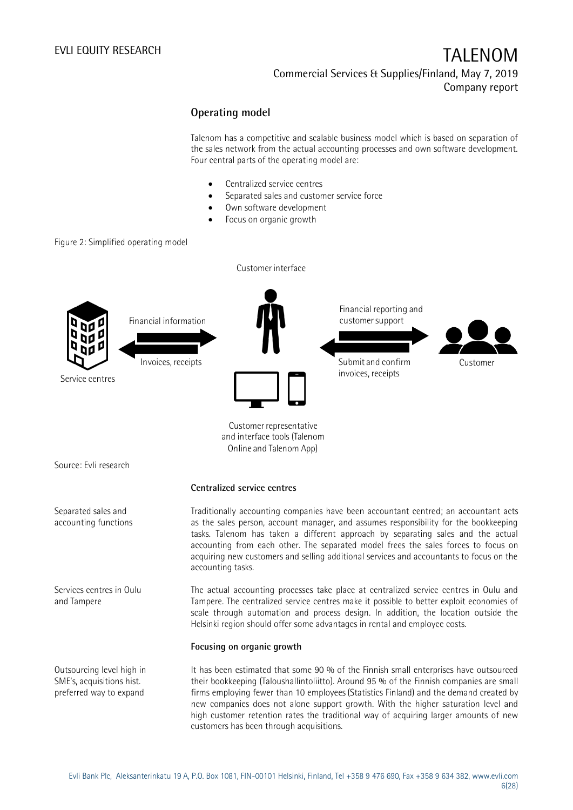Commercial Services & Supplies/Finland, May 7, 2019 Company report

### **Operating model**

Talenom has a competitive and scalable business model which is based on separation of the sales network from the actual accounting processes and own software development. Four central parts of the operating model are:

- Centralized service centres
- Separated sales and customer service force
- Own software development
- Focus on organic growth

### Figure 2: Simplified operating model



It has been estimated that some 90 % of the Finnish small enterprises have outsourced their bookkeeping (Taloushallintoliitto). Around 95 % of the Finnish companies are small firms employing fewer than 10 employees (Statistics Finland) and the demand created by new companies does not alone support growth. With the higher saturation level and high customer retention rates the traditional way of acquiring larger amounts of new customers has been through acquisitions.

SME's, acquisitions hist. preferred way to expand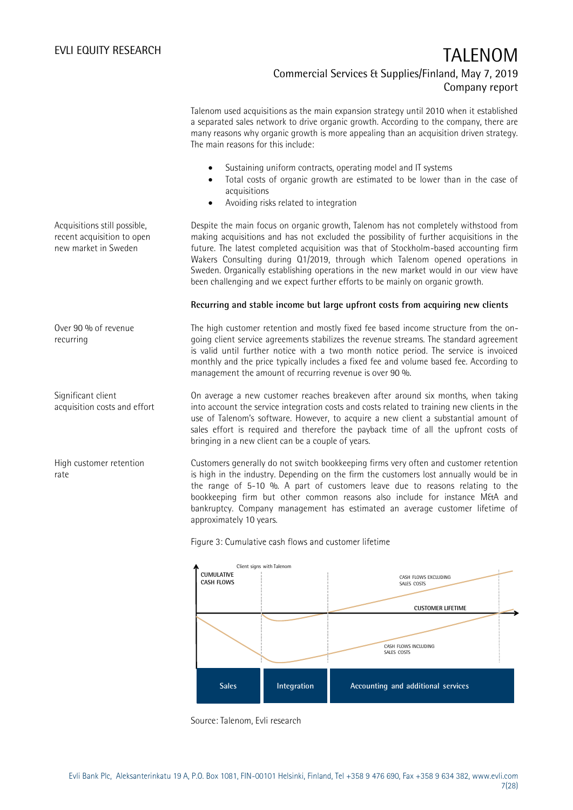7(28)

Commercial Services & Supplies/Finland, May 7, 2019 Company report

|                                                                                    | The main reasons for this include:                    |                                       | Talenom used acquisitions as the main expansion strategy until 2010 when it established<br>a separated sales network to drive organic growth. According to the company, there are<br>many reasons why organic growth is more appealing than an acquisition driven strategy.                                                                                                                                                                                                                                                      |
|------------------------------------------------------------------------------------|-------------------------------------------------------|---------------------------------------|----------------------------------------------------------------------------------------------------------------------------------------------------------------------------------------------------------------------------------------------------------------------------------------------------------------------------------------------------------------------------------------------------------------------------------------------------------------------------------------------------------------------------------|
|                                                                                    | acquisitions                                          | Avoiding risks related to integration | Sustaining uniform contracts, operating model and IT systems<br>Total costs of organic growth are estimated to be lower than in the case of                                                                                                                                                                                                                                                                                                                                                                                      |
| Acquisitions still possible,<br>recent acquisition to open<br>new market in Sweden |                                                       |                                       | Despite the main focus on organic growth, Talenom has not completely withstood from<br>making acquisitions and has not excluded the possibility of further acquisitions in the<br>future. The latest completed acquisition was that of Stockholm-based accounting firm<br>Wakers Consulting during 01/2019, through which Talenom opened operations in<br>Sweden. Organically establishing operations in the new market would in our view have<br>been challenging and we expect further efforts to be mainly on organic growth. |
|                                                                                    |                                                       |                                       | Recurring and stable income but large upfront costs from acquiring new clients                                                                                                                                                                                                                                                                                                                                                                                                                                                   |
| Over 90 % of revenue<br>recurring                                                  |                                                       |                                       | The high customer retention and mostly fixed fee based income structure from the on-<br>going client service agreements stabilizes the revenue streams. The standard agreement<br>is valid until further notice with a two month notice period. The service is invoiced<br>monthly and the price typically includes a fixed fee and volume based fee. According to<br>management the amount of recurring revenue is over 90 %.                                                                                                   |
| Significant client<br>acquisition costs and effort                                 | bringing in a new client can be a couple of years.    |                                       | On average a new customer reaches breakeven after around six months, when taking<br>into account the service integration costs and costs related to training new clients in the<br>use of Talenom's software. However, to acquire a new client a substantial amount of<br>sales effort is required and therefore the payback time of all the upfront costs of                                                                                                                                                                    |
| High customer retention<br>rate                                                    | approximately 10 years.                               |                                       | Customers generally do not switch bookkeeping firms very often and customer retention<br>is high in the industry. Depending on the firm the customers lost annually would be in<br>the range of 5-10 %. A part of customers leave due to reasons relating to the<br>bookkeeping firm but other common reasons also include for instance M&A and<br>bankruptcy. Company management has estimated an average customer lifetime of                                                                                                  |
|                                                                                    | Figure 3: Cumulative cash flows and customer lifetime |                                       |                                                                                                                                                                                                                                                                                                                                                                                                                                                                                                                                  |
|                                                                                    | <b>CUMULATIVE</b><br><b>CASH FLOWS</b>                | Client signs with Talenom             | CASH FLOWS EXCLUDING<br>SALES COSTS<br><b>CUSTOMER LIFETIME</b>                                                                                                                                                                                                                                                                                                                                                                                                                                                                  |
|                                                                                    |                                                       |                                       | CASH FLOWS INCLUDING<br>SALES COSTS                                                                                                                                                                                                                                                                                                                                                                                                                                                                                              |
|                                                                                    | <b>Sales</b>                                          | Integration                           | Accounting and additional services                                                                                                                                                                                                                                                                                                                                                                                                                                                                                               |



Evli Bank Plc, Aleksanterinkatu 19 A, P.O. Box 1081, FIN-00101 Helsinki, Finland, Tel +358 9 476 690, Fax +358 9 634 382, [www.evli.com](http://www.evli.com/)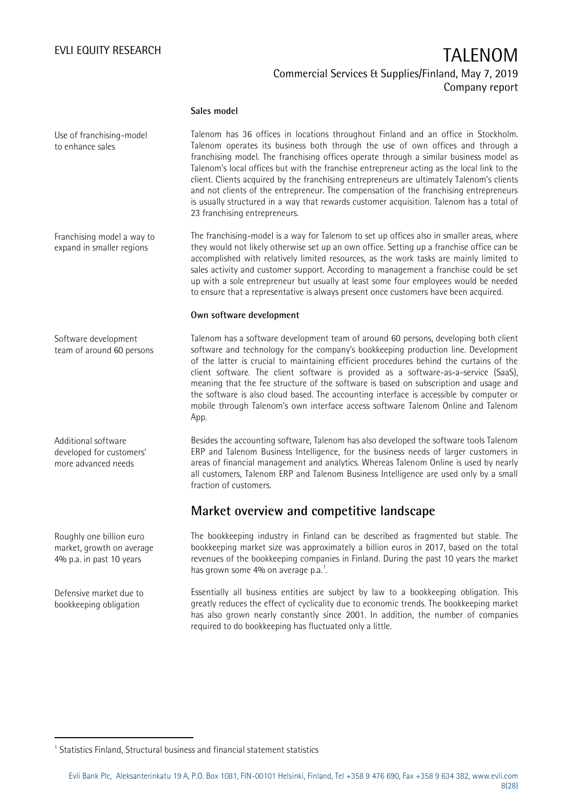### **Sales model**

Talenom has 36 offices in locations throughout Finland and an office in Stockholm. Talenom operates its business both through the use of own offices and through a franchising model. The franchising offices operate through a similar business model as Talenom's local offices but with the franchise entrepreneur acting as the local link to the client. Clients acquired by the franchising entrepreneurs are ultimately Talenom's clients and not clients of the entrepreneur. The compensation of the franchising entrepreneurs is usually structured in a way that rewards customer acquisition. Talenom has a total of 23 franchising entrepreneurs. Use of franchising-model to enhance sales

The franchising-model is a way for Talenom to set up offices also in smaller areas, where they would not likely otherwise set up an own office. Setting up a franchise office can be accomplished with relatively limited resources, as the work tasks are mainly limited to sales activity and customer support. According to management a franchise could be set up with a sole entrepreneur but usually at least some four employees would be needed to ensure that a representative is always present once customers have been acquired. Franchising model a way to expand in smaller regions

### **Own software development**

Talenom has a software development team of around 60 persons, developing both client software and technology for the company's bookkeeping production line. Development of the latter is crucial to maintaining efficient procedures behind the curtains of the client software. The client software is provided as a software-as-a-service (SaaS), meaning that the fee structure of the software is based on subscription and usage and the software is also cloud based. The accounting interface is accessible by computer or mobile through Talenom's own interface access software Talenom Online and Talenom App.

Besides the accounting software, Talenom has also developed the software tools Talenom ERP and Talenom Business Intelligence, for the business needs of larger customers in areas of financial management and analytics. Whereas Talenom Online is used by nearly all customers, Talenom ERP and Talenom Business Intelligence are used only by a small fraction of customers.

## **Market overview and competitive landscape**

The bookkeeping industry in Finland can be described as fragmented but stable. The bookkeeping market size was approximately a billion euros in 2017, based on the total revenues of the bookkeeping companies in Finland. During the past 10 years the market has grown some  $4\%$  on average p.a.<sup>1</sup>. .

Essentially all business entities are subject by law to a bookkeeping obligation. This greatly reduces the effect of cyclicality due to economic trends. The bookkeeping market has also grown nearly constantly since 2001. In addition, the number of companies required to do bookkeeping has fluctuated only a little.

Additional software developed for customers' more advanced needs

Roughly one billion euro market, growth on average 4% p.a. in past 10 years

Defensive market due to bookkeeping obligation

-

Software development team of around 60 persons

<sup>&</sup>lt;sup>1</sup> Statistics Finland, Structural business and financial statement statistics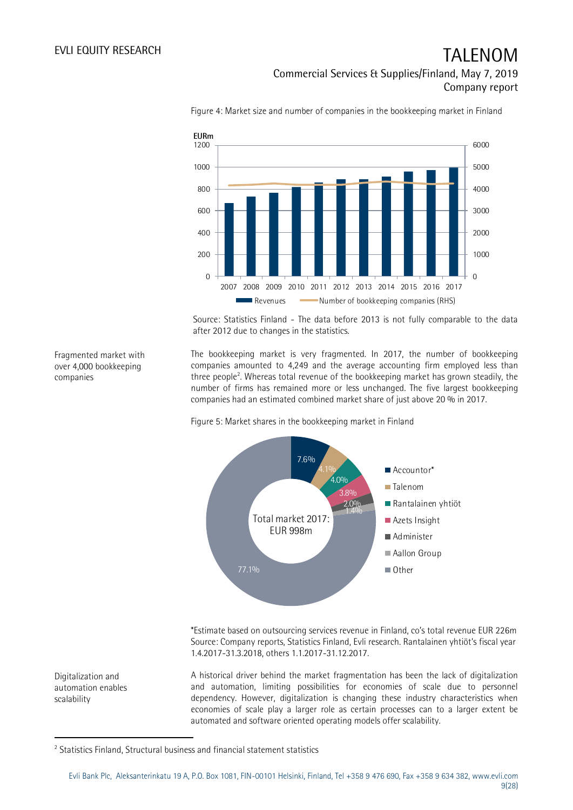Fragmented market with over 4,000 bookkeeping

companies

Digitalization and automation enables

scalability

## EVLI EQUITY RESEARCH TALENOM Commercial Services & Supplies/Finland, May 7, 2019 Company report



Figure 4: Market size and number of companies in the bookkeeping market in Finland

Source: Statistics Finland - The data before 2013 is not fully comparable to the data after 2012 due to changes in the statistics.

The bookkeeping market is very fragmented. In 2017, the number of bookkeeping companies amounted to 4,249 and the average accounting firm employed less than three people<sup>2</sup>. Whereas total revenue of the bookkeeping market has grown steadily, the number of firms has remained more or less unchanged. The five largest bookkeeping companies had an estimated combined market share of just above 20 % in 2017.

Figure 5: Market shares in the bookkeeping market in Finland



\*Estimate based on outsourcing services revenue in Finland, co's total revenue EUR 226m Source: Company reports, Statistics Finland, Evli research. Rantalainen yhtiöt's fiscal year 1.4.2017-31.3.2018, others 1.1.2017-31.12.2017.

A historical driver behind the market fragmentation has been the lack of digitalization and automation, limiting possibilities for economies of scale due to personnel dependency. However, digitalization is changing these industry characteristics when economies of scale play a larger role as certain processes can to a larger extent be automated and software oriented operating models offer scalability.

Evli Bank Plc, Aleksanterinkatu 19 A, P.O. Box 1081, FIN-00101 Helsinki, Finland, Tel +358 9 476 690, Fax +358 9 634 382, [www.evli.com](http://www.evli.com/) 9(28)

<sup>-</sup><sup>2</sup> Statistics Finland, Structural business and financial statement statistics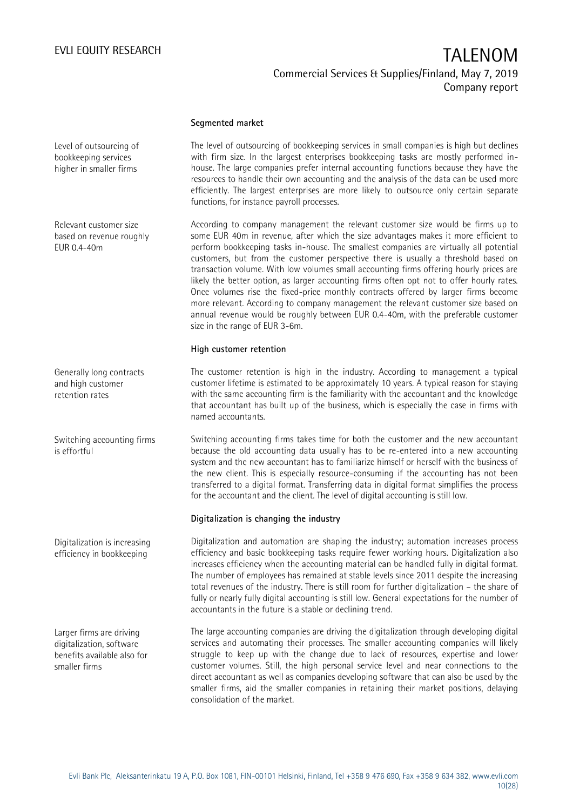### **Segmented market**

The level of outsourcing of bookkeeping services in small companies is high but declines with firm size. In the largest enterprises bookkeeping tasks are mostly performed inhouse. The large companies prefer internal accounting functions because they have the resources to handle their own accounting and the analysis of the data can be used more efficiently. The largest enterprises are more likely to outsource only certain separate functions, for instance payroll processes.

According to company management the relevant customer size would be firms up to some EUR 40m in revenue, after which the size advantages makes it more efficient to perform bookkeeping tasks in-house. The smallest companies are virtually all potential customers, but from the customer perspective there is usually a threshold based on transaction volume. With low volumes small accounting firms offering hourly prices are likely the better option, as larger accounting firms often opt not to offer hourly rates. Once volumes rise the fixed-price monthly contracts offered by larger firms become more relevant. According to company management the relevant customer size based on annual revenue would be roughly between EUR 0.4-40m, with the preferable customer size in the range of EUR 3-6m.

### **High customer retention**

The customer retention is high in the industry. According to management a typical customer lifetime is estimated to be approximately 10 years. A typical reason for staying with the same accounting firm is the familiarity with the accountant and the knowledge that accountant has built up of the business, which is especially the case in firms with named accountants.

Switching accounting firms takes time for both the customer and the new accountant because the old accounting data usually has to be re-entered into a new accounting system and the new accountant has to familiarize himself or herself with the business of the new client. This is especially resource-consuming if the accounting has not been transferred to a digital format. Transferring data in digital format simplifies the process for the accountant and the client. The level of digital accounting is still low.

#### **Digitalization is changing the industry**

Digitalization and automation are shaping the industry; automation increases process efficiency and basic bookkeeping tasks require fewer working hours. Digitalization also increases efficiency when the accounting material can be handled fully in digital format. The number of employees has remained at stable levels since 2011 despite the increasing total revenues of the industry. There is still room for further digitalization – the share of fully or nearly fully digital accounting is still low. General expectations for the number of accountants in the future is a stable or declining trend.

The large accounting companies are driving the digitalization through developing digital services and automating their processes. The smaller accounting companies will likely struggle to keep up with the change due to lack of resources, expertise and lower customer volumes. Still, the high personal service level and near connections to the direct accountant as well as companies developing software that can also be used by the smaller firms, aid the smaller companies in retaining their market positions, delaying consolidation of the market.

Level of outsourcing of bookkeeping services higher in smaller firms

Relevant customer size based on revenue roughly EUR 0.4-40m

Generally long contracts and high customer retention rates

Switching accounting firms is effortful

Digitalization is increasing efficiency in bookkeeping

Larger firms are driving digitalization, software benefits available also for smaller firms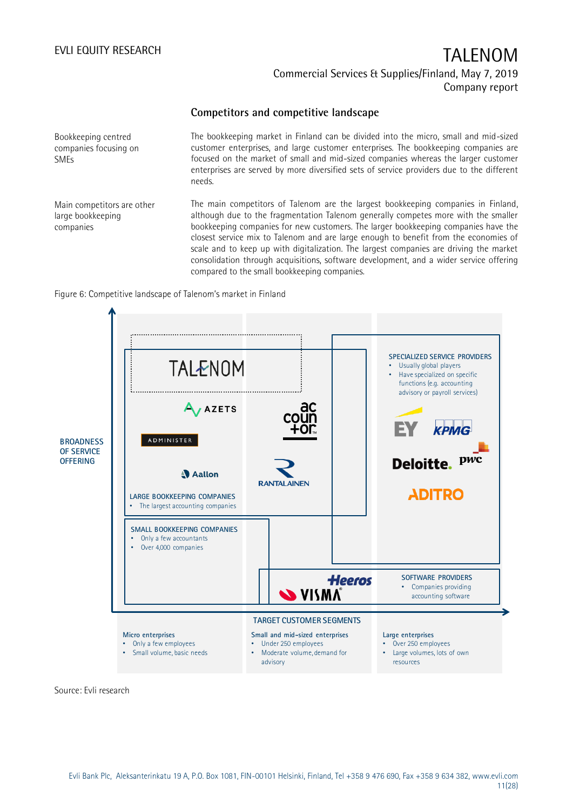### **Competitors and competitive landscape**

Bookkeeping centred companies focusing on SMEs

The bookkeeping market in Finland can be divided into the micro, small and mid-sized customer enterprises, and large customer enterprises. The bookkeeping companies are focused on the market of small and mid-sized companies whereas the larger customer enterprises are served by more diversified sets of service providers due to the different needs.

Main competitors are other large bookkeeping companies

The main competitors of Talenom are the largest bookkeeping companies in Finland, although due to the fragmentation Talenom generally competes more with the smaller bookkeeping companies for new customers. The larger bookkeeping companies have the closest service mix to Talenom and are large enough to benefit from the economies of scale and to keep up with digitalization. The largest companies are driving the market consolidation through acquisitions, software development, and a wider service offering compared to the small bookkeeping companies.

### Figure 6: Competitive landscape of Talenom's market in Finland



Source: Evli research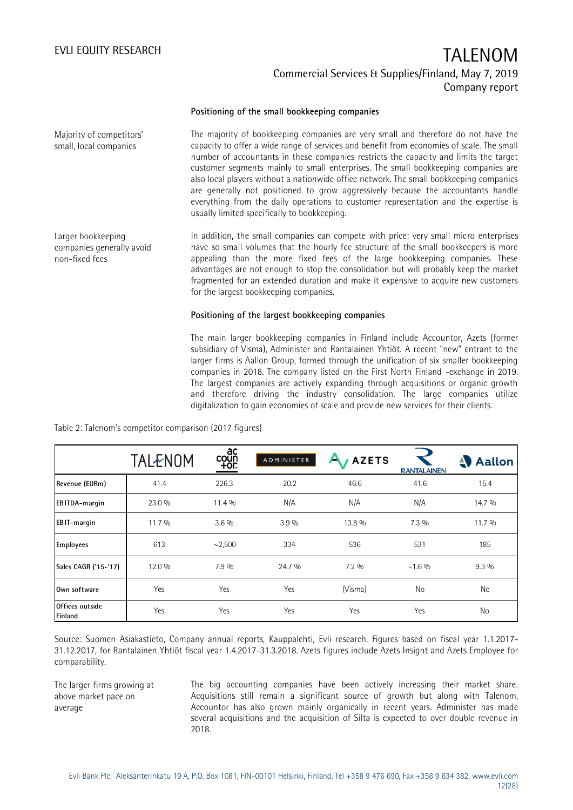#### **Positioning of the small bookkeeping companies**

The majority of bookkeeping companies are very small and therefore do not have the capacity to offer a wide range of services and benefit from economies of scale. The small number of accountants in these companies restricts the capacity and limits the target customer segments mainly to small enterprises. The small bookkeeping companies are also local players without a nationwide office network. The small bookkeeping companies are generally not positioned to grow aggressively because the accountants handle everything from the daily operations to customer representation and the expertise is usually limited specifically to bookkeeping. Majority of competitors' small, local companies

Larger bookkeeping companies generally avoid non-fixed fees

In addition, the small companies can compete with price; very small micro enterprises have so small volumes that the hourly fee structure of the small bookkeepers is more appealing than the more fixed fees of the large bookkeeping companies. These advantages are not enough to stop the consolidation but will probably keep the market fragmented for an extended duration and make it expensive to acquire new customers for the largest bookkeeping companies.

### **Positioning of the largest bookkeeping companies**

The main larger bookkeeping companies in Finland include Accountor, Azets (former subsidiary of Visma), Administer and Rantalainen Yhtiöt. A recent "new" entrant to the larger firms is Aallon Group, formed through the unification of six smaller bookkeeping companies in 2018. The company listed on the First North Finland -exchange in 2019. The largest companies are actively expanding through acquisitions or organic growth and therefore driving the industry consolidation. The large companies utilize digitalization to gain economies of scale and provide new services for their clients.

|                            | TALENOM | ac<br>coūň<br><u>Tội:</u> | ADMINISTER | <b>AZETS</b> | <b>RANTALAINEN</b> | Aallon  |
|----------------------------|---------|---------------------------|------------|--------------|--------------------|---------|
| Revenue (EURm)             | 41.4    | 226.3                     | 20.2       | 46.6         | 41.6               | 15.4    |
| EBITDA-margin              | 23.0 %  | 11.4 %                    | N/A        | N/A          | N/A                | 14.7 %  |
| EBIT-margin                | 11.7 %  | $3.6\%$                   | 3.9%       | 13.8 %       | $7.3\%$            | 11.7 %  |
| Employees                  | 613     | $\sim$ 2,500              | 334        | 536          | 531                | 185     |
| Sales CAGR ('15-'17)       | 12.0 %  | 7.9 %                     | 24.7 %     | $7.2\%$      | $-1.6%$            | $9.3\%$ |
| Own software               | Yes     | Yes                       | Yes        | (Visma)      | No                 | No      |
| Offices outside<br>Finland | Yes     | Yes                       | Yes        | Yes          | Yes                | No      |

Table 2: Talenom's competitor comparison (2017 figures)

Source: Suomen Asiakastieto, Company annual reports, Kauppalehti, Evli research. Figures based on fiscal year 1.1.2017- 31.12.2017, for Rantalainen Yhtiöt fiscal year 1.4.2017-31.3.2018. Azets figures include Azets Insight and Azets Employee for comparability.

The larger firms growing at above market pace on average

The big accounting companies have been actively increasing their market share. Acquisitions still remain a significant source of growth but along with Talenom, Accountor has also grown mainly organically in recent years. Administer has made several acquisitions and the acquisition of Silta is expected to over double revenue in 2018.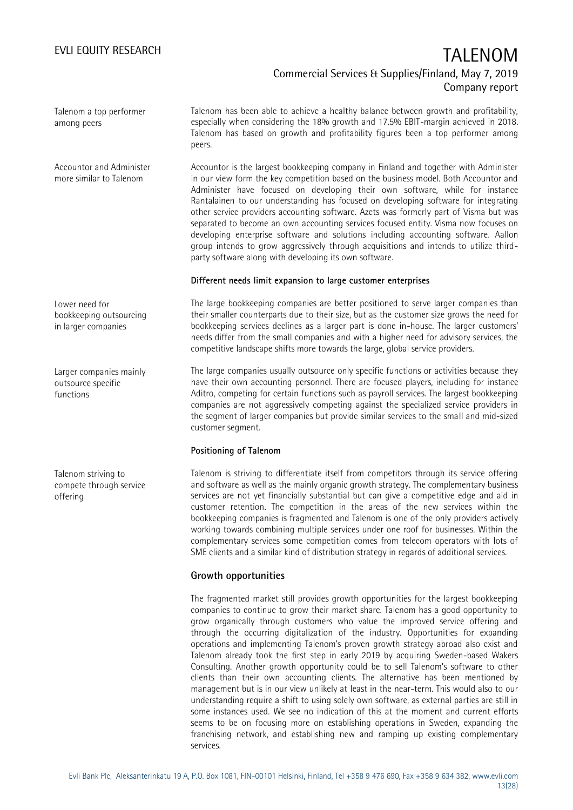Talenom a top performer among peers

Talenom has been able to achieve a healthy balance between growth and profitability, especially when considering the 18% growth and 17.5% EBIT-margin achieved in 2018. Talenom has based on growth and profitability figures been a top performer among peers.

Accountor is the largest bookkeeping company in Finland and together with Administer in our view form the key competition based on the business model. Both Accountor and Administer have focused on developing their own software, while for instance Rantalainen to our understanding has focused on developing software for integrating other service providers accounting software. Azets was formerly part of Visma but was separated to become an own accounting services focused entity. Visma now focuses on developing enterprise software and solutions including accounting software. Aallon group intends to grow aggressively through acquisitions and intends to utilize thirdparty software along with developing its own software. Accountor and Administer more similar to Talenom

### **Different needs limit expansion to large customer enterprises**

The large bookkeeping companies are better positioned to serve larger companies than their smaller counterparts due to their size, but as the customer size grows the need for bookkeeping services declines as a larger part is done in-house. The larger customers' needs differ from the small companies and with a higher need for advisory services, the competitive landscape shifts more towards the large, global service providers.

The large companies usually outsource only specific functions or activities because they have their own accounting personnel. There are focused players, including for instance Aditro, competing for certain functions such as payroll services. The largest bookkeeping companies are not aggressively competing against the specialized service providers in the segment of larger companies but provide similar services to the small and mid-sized customer segment.

### **Positioning of Talenom**

Talenom is striving to differentiate itself from competitors through its service offering and software as well as the mainly organic growth strategy. The complementary business services are not yet financially substantial but can give a competitive edge and aid in customer retention. The competition in the areas of the new services within the bookkeeping companies is fragmented and Talenom is one of the only providers actively working towards combining multiple services under one roof for businesses. Within the complementary services some competition comes from telecom operators with lots of SME clients and a similar kind of distribution strategy in regards of additional services.

### **Growth opportunities**

The fragmented market still provides growth opportunities for the largest bookkeeping companies to continue to grow their market share. Talenom has a good opportunity to grow organically through customers who value the improved service offering and through the occurring digitalization of the industry. Opportunities for expanding operations and implementing Talenom's proven growth strategy abroad also exist and Talenom already took the first step in early 2019 by acquiring Sweden-based Wakers Consulting. Another growth opportunity could be to sell Talenom's software to other clients than their own accounting clients. The alternative has been mentioned by management but is in our view unlikely at least in the near-term. This would also to our understanding require a shift to using solely own software, as external parties are still in some instances used. We see no indication of this at the moment and current efforts seems to be on focusing more on establishing operations in Sweden, expanding the franchising network, and establishing new and ramping up existing complementary services.

Lower need for bookkeeping outsourcing in larger companies

Larger companies mainly outsource specific functions

Talenom striving to compete through service offering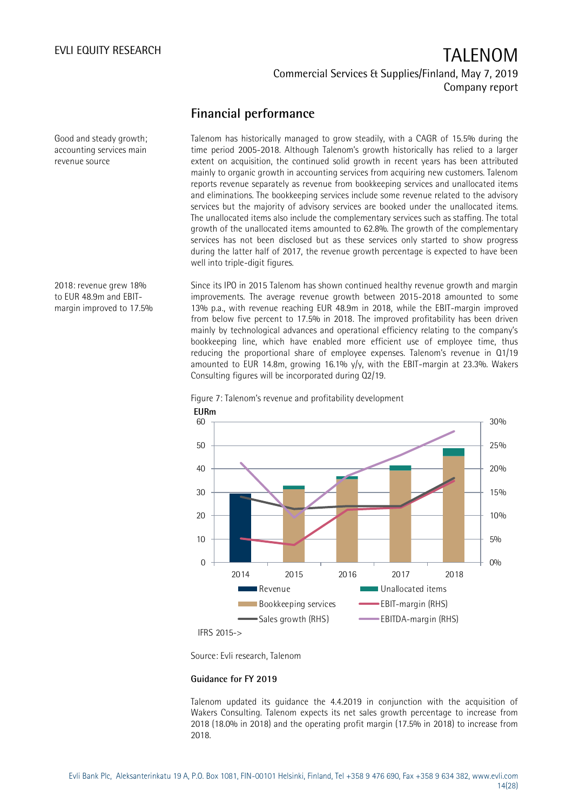## **Financial performance**

Talenom has historically managed to grow steadily, with a CAGR of 15.5% during the time period 2005-2018. Although Talenom's growth historically has relied to a larger extent on acquisition, the continued solid growth in recent years has been attributed mainly to organic growth in accounting services from acquiring new customers. Talenom reports revenue separately as revenue from bookkeeping services and unallocated items and eliminations. The bookkeeping services include some revenue related to the advisory services but the majority of advisory services are booked under the unallocated items. The unallocated items also include the complementary services such as staffing. The total growth of the unallocated items amounted to 62.8%. The growth of the complementary services has not been disclosed but as these services only started to show progress during the latter half of 2017, the revenue growth percentage is expected to have been well into triple-digit figures.

Since its IPO in 2015 Talenom has shown continued healthy revenue growth and margin improvements. The average revenue growth between 2015-2018 amounted to some 13% p.a., with revenue reaching EUR 48.9m in 2018, while the EBIT-margin improved from below five percent to 17.5% in 2018. The improved profitability has been driven mainly by technological advances and operational efficiency relating to the company's bookkeeping line, which have enabled more efficient use of employee time, thus reducing the proportional share of employee expenses. Talenom's revenue in Q1/19 amounted to EUR 14.8m, growing 16.1%  $\sqrt{v}$ , with the EBIT-margin at 23.3%. Wakers Consulting figures will be incorporated during Q2/19.



Figure 7: Talenom's revenue and profitability development

Source: Evli research, Talenom

### **Guidance for FY 2019**

Talenom updated its guidance the 4.4.2019 in conjunction with the acquisition of Wakers Consulting. Talenom expects its net sales growth percentage to increase from 2018 (18.0% in 2018) and the operating profit margin (17.5% in 2018) to increase from 2018.

Good and steady growth; accounting services main revenue source

2018: revenue grew 18% to EUR 48.9m and EBITmargin improved to 17.5%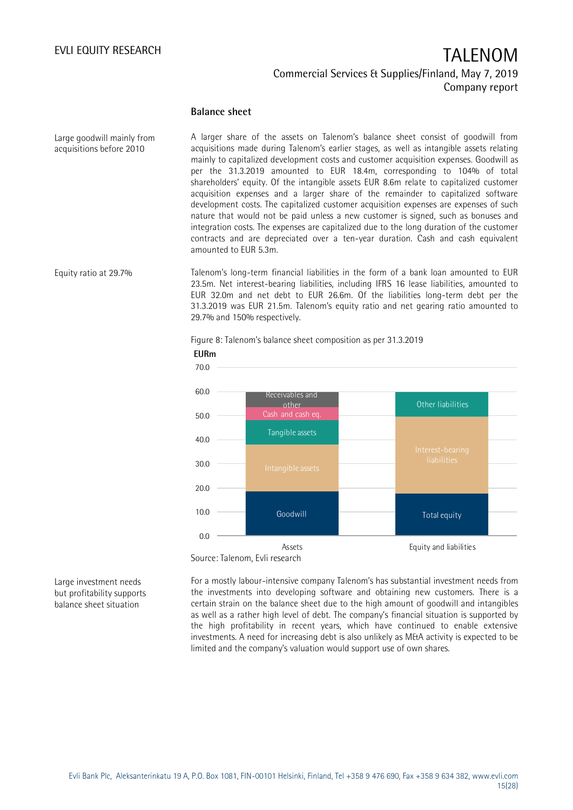### **Balance sheet**

**EURm**

A larger share of the assets on Talenom's balance sheet consist of goodwill from acquisitions made during Talenom's earlier stages, as well as intangible assets relating mainly to capitalized development costs and customer acquisition expenses. Goodwill as per the 31.3.2019 amounted to EUR 18.4m, corresponding to 104% of total shareholders' equity. Of the intangible assets EUR 8.6m relate to capitalized customer acquisition expenses and a larger share of the remainder to capitalized software development costs. The capitalized customer acquisition expenses are expenses of such nature that would not be paid unless a new customer is signed, such as bonuses and integration costs. The expenses are capitalized due to the long duration of the customer contracts and are depreciated over a ten-year duration. Cash and cash equivalent amounted to EUR 5.3m. Large goodwill mainly from acquisitions before 2010

Talenom's long-term financial liabilities in the form of a bank loan amounted to EUR 23.5m. Net interest-bearing liabilities, including IFRS 16 lease liabilities, amounted to EUR 32.0m and net debt to EUR 26.6m. Of the liabilities long-term debt per the 31.3.2019 was EUR 21.5m. Talenom's equity ratio and net gearing ratio amounted to 29.7% and 150% respectively. Equity ratio at 29.7%

Figure 8: Talenom's balance sheet composition as per 31.3.2019



Source: Talenom, Evli research

Large investment needs but profitability supports balance sheet situation

For a mostly labour-intensive company Talenom's has substantial investment needs from the investments into developing software and obtaining new customers. There is a certain strain on the balance sheet due to the high amount of goodwill and intangibles as well as a rather high level of debt. The company's financial situation is supported by the high profitability in recent years, which have continued to enable extensive investments. A need for increasing debt is also unlikely as M&A activity is expected to be limited and the company's valuation would support use of own shares.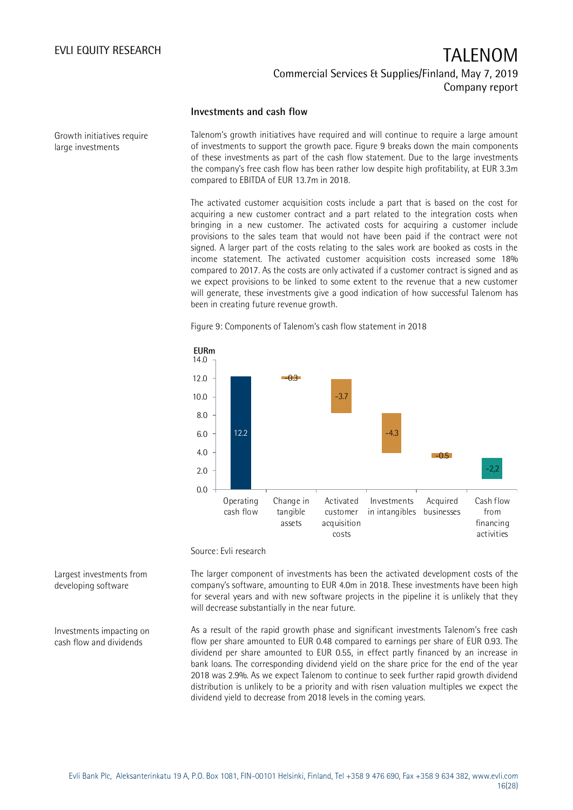### **Investments and cash flow**

Growth initiatives require large investments

Talenom's growth initiatives have required and will continue to require a large amount of investments to support the growth pace. Figure 9 breaks down the main components of these investments as part of the cash flow statement. Due to the large investments the company's free cash flow has been rather low despite high profitability, at EUR 3.3m compared to EBITDA of EUR 13.7m in 2018.

The activated customer acquisition costs include a part that is based on the cost for acquiring a new customer contract and a part related to the integration costs when bringing in a new customer. The activated costs for acquiring a customer include provisions to the sales team that would not have been paid if the contract were not signed. A larger part of the costs relating to the sales work are booked as costs in the income statement. The activated customer acquisition costs increased some 18% compared to 2017. As the costs are only activated if a customer contract is signed and as we expect provisions to be linked to some extent to the revenue that a new customer will generate, these investments give a good indication of how successful Talenom has been in creating future revenue growth.



Figure 9: Components of Talenom's cash flow statement in 2018

Source: Evli research

The larger component of investments has been the activated development costs of the company's software, amounting to EUR 4.0m in 2018. These investments have been high for several years and with new software projects in the pipeline it is unlikely that they will decrease substantially in the near future.

As a result of the rapid growth phase and significant investments Talenom's free cash flow per share amounted to EUR 0.48 compared to earnings per share of EUR 0.93. The dividend per share amounted to EUR 0.55, in effect partly financed by an increase in bank loans. The corresponding dividend yield on the share price for the end of the year 2018 was 2.9%. As we expect Talenom to continue to seek further rapid growth dividend distribution is unlikely to be a priority and with risen valuation multiples we expect the dividend yield to decrease from 2018 levels in the coming years.

Largest investments from developing software

Investments impacting on cash flow and dividends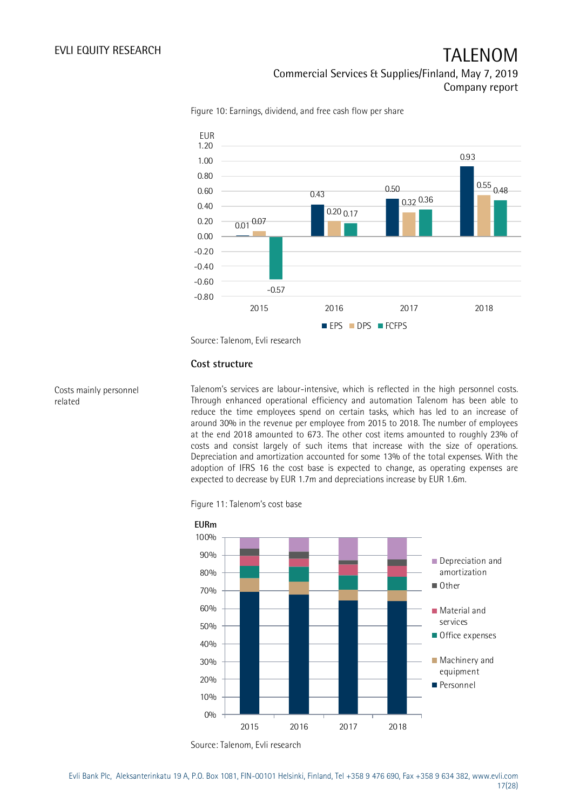

Figure 10: Earnings, dividend, and free cash flow per share

Source: Talenom, Evli research

### **Cost structure**

### Costs mainly personnel related

Talenom's services are labour-intensive, which is reflected in the high personnel costs. Through enhanced operational efficiency and automation Talenom has been able to reduce the time employees spend on certain tasks, which has led to an increase of around 30% in the revenue per employee from 2015 to 2018. The number of employees at the end 2018 amounted to 673. The other cost items amounted to roughly 23% of costs and consist largely of such items that increase with the size of operations. Depreciation and amortization accounted for some 13% of the total expenses. With the adoption of IFRS 16 the cost base is expected to change, as operating expenses are expected to decrease by EUR 1.7m and depreciations increase by EUR 1.6m.

Figure 11: Talenom's cost base



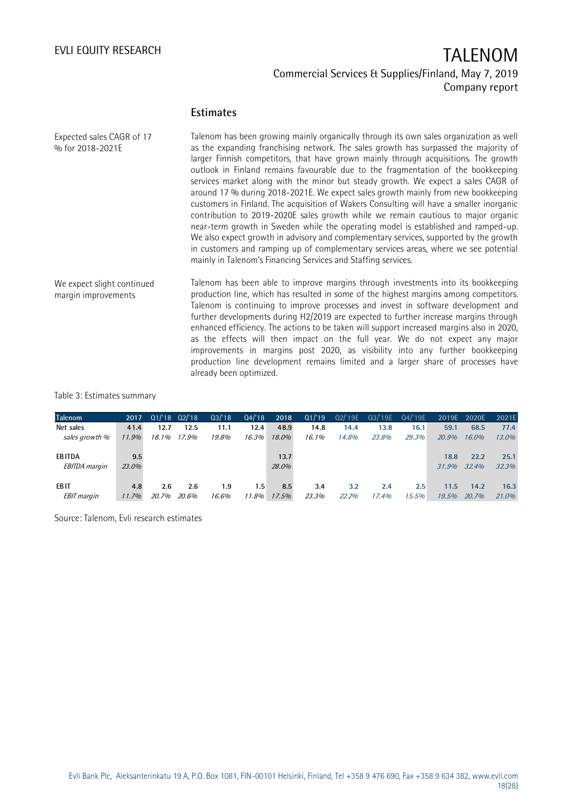### **Estimates**

| Expected sales CAGR of 17<br>% for 2018-2021E     | Talenom has been growing mainly organically through its own sales organization as well<br>as the expanding franchising network. The sales growth has surpassed the majority of<br>larger Finnish competitors, that have grown mainly through acquisitions. The growth<br>outlook in Finland remains favourable due to the fragmentation of the bookkeeping<br>services market along with the minor but steady growth. We expect a sales CAGR of<br>around 17 % during 2018-2021E. We expect sales growth mainly from new bookkeeping<br>customers in Finland. The acquisition of Wakers Consulting will have a smaller inorganic<br>contribution to 2019–2020E sales growth while we remain cautious to major organic<br>near-term growth in Sweden while the operating model is established and ramped-up.<br>We also expect growth in advisory and complementary services, supported by the growth<br>in customers and ramping up of complementary services areas, where we see potential<br>mainly in Talenom's Financing Services and Staffing services. |
|---------------------------------------------------|--------------------------------------------------------------------------------------------------------------------------------------------------------------------------------------------------------------------------------------------------------------------------------------------------------------------------------------------------------------------------------------------------------------------------------------------------------------------------------------------------------------------------------------------------------------------------------------------------------------------------------------------------------------------------------------------------------------------------------------------------------------------------------------------------------------------------------------------------------------------------------------------------------------------------------------------------------------------------------------------------------------------------------------------------------------|
| We expect slight continued<br>margin improvements | Talenom has been able to improve margins through investments into its bookkeeping<br>production line, which has resulted in some of the highest margins among competitors.<br>Talenom is continuing to improve processes and invest in software development and<br>further developments during H2/2019 are expected to further increase margins through<br>enhanced efficiency. The actions to be taken will support increased margins also in 2020,<br>as the effects will then impact on the full year. We do not expect any major<br>improvements in margins post 2020, as visibility into any further bookkeeping<br>production line development remains limited and a larger share of processes have<br>already been optimized.                                                                                                                                                                                                                                                                                                                         |

### Table 3: Estimates summary

| <b>Talenom</b>       | 2017  | $Q1/18$ $Q2/18$ |       | Q3/18 | Q4/18 | 2018  | Q1/19 | Q2/'19E | Q3/'19E | Q4/'19E |       | 2019E 2020E | 2021E |
|----------------------|-------|-----------------|-------|-------|-------|-------|-------|---------|---------|---------|-------|-------------|-------|
| Net sales            | 41.4  | 12.7            | 12.5  | 11.1  | 12.4  | 48.9  | 14.8  | 14.4    | 13.8    | 16.1    | 59.1  | 68.5        | 77.4  |
| sales growth %       | 11.9% | 18.1%           | 17.9% | 19.8% | 16.3% | 18.0% | 16.1% | 14.8%   | 23.8%   | 29.3%   | 20.9% | 16.0%       | 13.0% |
|                      |       |                 |       |       |       |       |       |         |         |         |       |             |       |
| <b>EBITDA</b>        | 9.5   |                 |       |       |       | 13.7  |       |         |         |         | 18.8  | 22.2        | 25.1  |
| <i>EBITDA margin</i> | 23.0% |                 |       |       |       | 28.0% |       |         |         |         | 31.9% | 32.4%       | 32.3% |
|                      |       |                 |       |       |       |       |       |         |         |         |       |             |       |
| <b>EBIT</b>          | 4.8   | 2.6             | 2.6   | 1.9   | 1.5   | 8.5   | 3.4   | 3.2     | 2.4     | 2.5     | 11.5  | 14.2        | 16.3  |
| <b>EBIT</b> margin   | 11.7% | 20.7%           | 20.6% | 16.6% | 11.8% | 17.5% | 23.3% | 22.2%   | 17.4%   | 15.5%   | 19.5% | 20.7%       | 21.0% |

Source: Talenom, Evli research estimates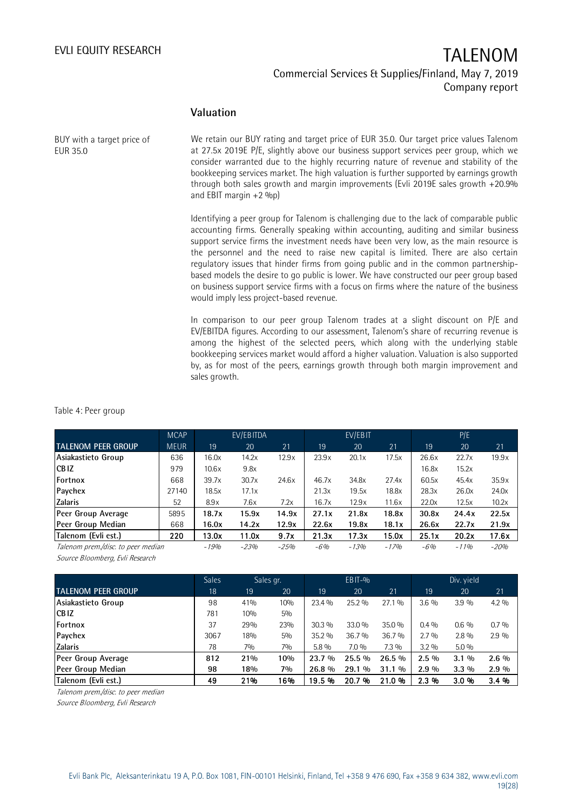### **Valuation**

BUY with a target price of EUR 35.0

We retain our BUY rating and target price of EUR 35.0. Our target price values Talenom at 27.5x 2019E P/E, slightly above our business support services peer group, which we consider warranted due to the highly recurring nature of revenue and stability of the bookkeeping services market. The high valuation is further supported by earnings growth through both sales growth and margin improvements (Evli 2019E sales growth +20.9% and EBIT margin +2 %p)

Identifying a peer group for Talenom is challenging due to the lack of comparable public accounting firms. Generally speaking within accounting, auditing and similar business support service firms the investment needs have been very low, as the main resource is the personnel and the need to raise new capital is limited. There are also certain regulatory issues that hinder firms from going public and in the common partnershipbased models the desire to go public is lower. We have constructed our peer group based on business support service firms with a focus on firms where the nature of the business would imply less project-based revenue.

In comparison to our peer group Talenom trades at a slight discount on P/E and EV/EBITDA figures. According to our assessment, Talenom's share of recurring revenue is among the highest of the selected peers, which along with the underlying stable bookkeeping services market would afford a higher valuation. Valuation is also supported by, as for most of the peers, earnings growth through both margin improvement and sales growth.

Table 4: Peer group

|                                    | <b>MCAP</b> |         | EV/EBITDA |        |       | EV/EBIT |        |       | P/E    |        |
|------------------------------------|-------------|---------|-----------|--------|-------|---------|--------|-------|--------|--------|
| <b>TALENOM PEER GROUP</b>          | <b>MEUR</b> | 19'     | 20        | 21     | 19    | 20      | 21     | 19    | 20     | 21     |
| Asiakastieto Group                 | 636         | 16.0x   | 14.2x     | 12.9x  | 23.9x | 20.1x   | 17.5x  | 26.6x | 22.7x  | 19.9x  |
| <b>CBIZ</b>                        | 979         | 10.6x   | 9.8x      |        |       |         |        | 16.8x | 15.2x  |        |
| Fortnox                            | 668         | 39.7x   | 30.7x     | 24.6x  | 46.7x | 34.8x   | 27.4x  | 60.5x | 45.4x  | 35.9x  |
| Paychex                            | 27140       | 18.5x   | 17.1x     |        | 21.3x | 19.5x   | 18.8x  | 28.3x | 26.0x  | 24.0x  |
| <b>Zalaris</b>                     | 52          | 8.9x    | 7.6x      | 7.2x   | 16.7x | 12.9x   | 11.6x  | 22.0x | 12.5x  | 10.2x  |
| Peer Group Average                 | 5895        | 18.7x   | 15.9x     | 14.9x  | 27.1x | 21.8x   | 18.8x  | 30.8x | 24.4x  | 22.5x  |
| Peer Group Median                  | 668         | 16.0x   | 14.2x     | 12.9x  | 22.6x | 19.8x   | 18.1x  | 26.6x | 22.7x  | 21.9x  |
| Talenom (Evli est.)                | 220         | 13.0x   | 11.0x     | 9.7x   | 21.3x | 17.3x   | 15.0x  | 25.1x | 20.2x  | 17.6x  |
| Talenom prem./disc. to peer median |             | $-1.9%$ | $-23%$    | $-25%$ | $-6%$ | $-1.3%$ | $-17%$ | $-6%$ | $-11%$ | $-20%$ |

Source Bloomberg, Evli Research

| Source Bloomberg, Evli Research    |              |     |           |          |            |          |         |            |         |
|------------------------------------|--------------|-----|-----------|----------|------------|----------|---------|------------|---------|
|                                    | <b>Sales</b> |     | Sales gr. |          | $EBIT-9/6$ |          |         | Div. yield |         |
| <b>TALENOM PEER GROUP</b>          | 18'          | 19  | 20        | 19       | 20         | 21       | 19      | 20         | 21      |
| Asiakastieto Group                 | 98           | 41% | 10%       | 23.4 %   | 25.2 %     | 27.1 %   | $3.6\%$ | 3.9%       | $4.2\%$ |
| ICB IZ                             | 781          | 10% | 5%        |          |            |          |         |            |         |
| Fortnox                            | 37           | 29% | 23%       | $30.3\%$ | 33.0 %     | 35.0 %   | $0.4\%$ | $0.6\%$    | $0.7\%$ |
| Paychex                            | 3067         | 18% | 5%        | $35.2\%$ | 36.7 %     | 36.7%    | $2.7\%$ | $2.8\%$    | $2.9\%$ |
| <b>Zalaris</b>                     | 78           | 7%  | 7%        | $5.8\%$  | $7.0\%$    | $7.3\%$  | $3.2\%$ | $5.0\%$    |         |
| Peer Group Average                 | 812          | 21% | 10%       | 23.7 %   | 25.5 %     | 26.5 %   | $2.5\%$ | $3.1\%$    | $2.6\%$ |
| Peer Group Median                  | 98           | 18% | 7%        | 26.8 %   | 29.1 %     | $31.1\%$ | $2.9\%$ | $3.3\%$    | $2.9\%$ |
| Talenom (Evli est.)                | 49           | 21% | 16%       | 19.5%    | 20.7 %     | 21.0%    | 2.3 %   | 3.0%       | 3.4%    |
| Talenom prem./disc. to peer median |              |     |           |          |            |          |         |            |         |

Talenom prem./disc. to peer median

Source Bloomberg, Evli Research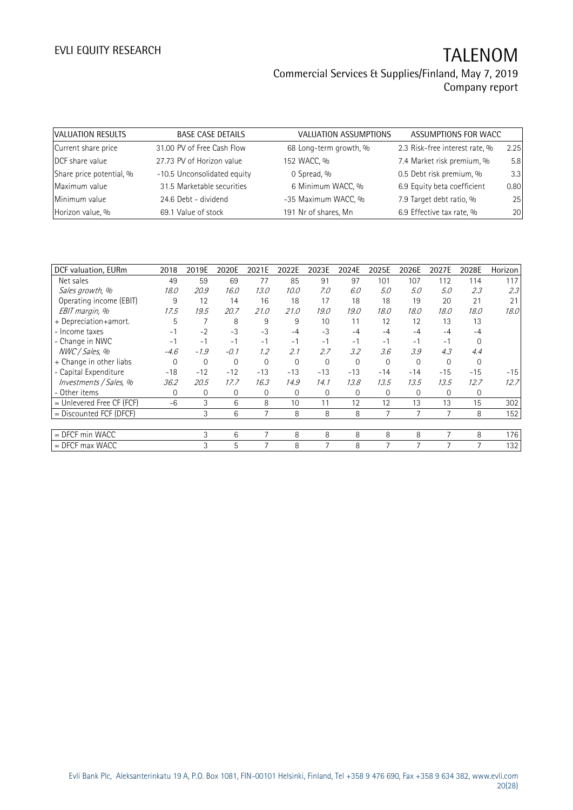| VALUATION RESULTS        | <b>BASE CASE DETAILS</b>    | VALUATION ASSUMPTIONS  | ASSUMPTIONS FOR WACC           |      |
|--------------------------|-----------------------------|------------------------|--------------------------------|------|
| Current share price      | 31.00 PV of Free Cash Flow  | 68 Long-term growth, % | 2.3 Risk-free interest rate, % | 2.25 |
| DCF share value          | 27.73 PV of Horizon value   | 152 WACC, %            | 7.4 Market risk premium, %     | 5.8  |
| Share price potential, % | -10.5 Unconsolidated equity | 0 Spread, %            | 0.5 Debt risk premium, %       | 3.3  |
| Maximum value            | 31.5 Marketable securities  | 6 Minimum WACC, %      | 6.9 Equity beta coefficient    | 0.80 |
| Minimum value            | 24.6 Debt - dividend        | -35 Maximum WACC, %    | 7.9 Target debt ratio, %       | 25   |
| Horizon value, %         | 69.1 Value of stock         | 191 Nr of shares, Mn   | 6.9 Effective tax rate, %      | 20   |

| DCF valuation, EURm       | 2018     | 2019E        | 2020E    | 2021E    | 2022E    | 2023E    | 2024E    | 2025E          | 2026E    | 2027E    | 2028E    | Horizon |
|---------------------------|----------|--------------|----------|----------|----------|----------|----------|----------------|----------|----------|----------|---------|
| Net sales                 | 49       | 59           | 69       | 77       | 85       | 91       | 97       | 101            | 107      | 112      | 114      | 117     |
| Sales growth, %           | 18.0     | 20.9         | 16.0     | 13.0     | 10.0     | 7.0      | 6.0      | 5.0            | 5.0      | 5.0      | 2.3      | 2.3     |
| Operating income (EBIT)   | 9        | 12           | 14       | 16       | 18       | 17       | 18       | 18             | 19       | 20       | 21       | 21      |
| EBIT margin, %            | 17.5     | 19.5         | 20.7     | 21.0     | 21.0     | 19.0     | 19.0     | 18.0           | 18.0     | 18.0     | 18.0     | 18.0    |
| + Depreciation+amort.     | 5        | 7            | 8        | 9        | 9        | 10       | 11       | 12             | 12       | 13       | 13       |         |
| - Income taxes            | $-1$     | $-2$         | $-3$     | $-3$     | $-4$     | $-3$     | $-4$     | $-4$           | $-4$     | $-4$     | $-4$     |         |
| - Change in NWC           | $-1$     | $-1$         | $-1$     | $-1$     | $-1$     | $-1$     | $-1$     | $-1$           | $-1$     | -1       | $\Omega$ |         |
| NWC / Sales, %            | $-4.6$   | $-1.9$       | $-0.1$   | 1.2      | 2.1      | 2.7      | 3.2      | 3.6            | 3.9      | 4.3      | 4.4      |         |
| + Change in other liabs   | $\Omega$ | 0            | $\Omega$ | $\Omega$ | $\Omega$ | $\Omega$ | $\Omega$ | $\Omega$       | $\Omega$ | $\Omega$ | $\Omega$ |         |
| - Capital Expenditure     | $-18$    | $-12$        | $-12$    | $-13$    | $-13$    | $-13$    | $-13$    | $-14$          | $-14$    | $-15$    | $-15$    | $-15$   |
| Investments / Sales, %    | 36.2     | 20.5         | 17.7     | 16.3     | 14.9     | 14.1     | 13.8     | 13.5           | 13.5     | 13.5     | 12.7     | 12.7    |
| - Other items             | $\Omega$ | $\mathbf{0}$ | $\Omega$ | 0        | $\Omega$ | $\Omega$ | 0        | $\Omega$       | $\Omega$ | $\Omega$ | 0        |         |
| = Unlevered Free CF (FCF) | $-6$     | 3            | 6        | 8        | 10       | 11       | 12       | 12             | 13       | 13       | 15       | 302     |
| = Discounted FCF (DFCF)   |          | 3            | 6        | 7        | 8        | 8        | 8        | $\overline{7}$ |          |          | 8        | 152     |
|                           |          |              |          |          |          |          |          |                |          |          |          |         |
| $=$ DFCF min WACC         |          | 3            | 6        | 7        | 8        | 8        | 8        | 8              | 8        | 7        | 8        | 176     |
| $=$ DFCF max WACC         |          | 3            | 5        |          | 8        |          | 8        | 7              |          |          |          | 132     |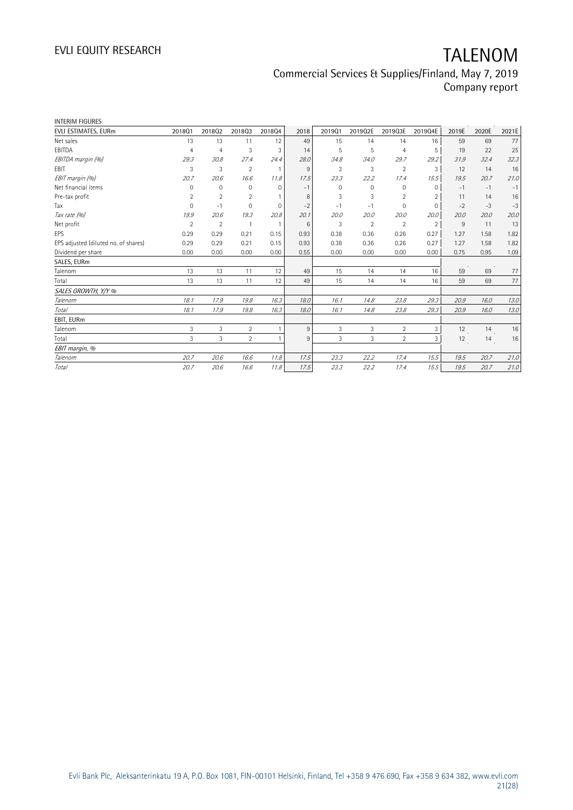| <b>INTERIM FIGURES</b>               |                |                |                |              |      |          |                |                |                |       |       |       |
|--------------------------------------|----------------|----------------|----------------|--------------|------|----------|----------------|----------------|----------------|-------|-------|-------|
| EVLI ESTIMATES, EURm                 | 201801         | 201802         | 201803         | 201804       | 2018 | 201901   | 2019Q2E        | 2019Q3E        | 2019Q4E        | 2019E | 2020E | 2021E |
| Net sales                            | 13             | 13             | 11             | 12           | 49   | 15       | 14             | 14             | 16             | 59    | 69    | 77    |
| EBITDA                               | $\overline{4}$ | 4              | 3              | 3            | 14   | 5        | 5              | $\overline{4}$ | 5              | 19    | 22    | 25    |
| EBITDA margin (%)                    | 29.3           | 30.8           | 27.4           | 24.4         | 28.0 | 34.8     | 34.0           | 29.7           | 29.2           | 31.9  | 32.4  | 32.3  |
| <b>EBIT</b>                          | 3              | 3              | $\overline{2}$ | $\mathbf{1}$ | 9    | 3        | 3              | $\overline{2}$ | 3              | 12    | 14    | 16    |
| EBIT margin (%)                      | 20.7           | 20.6           | 16.6           | 11.8         | 17.5 | 23.3     | 22.2           | 17.4           | 15.5           | 19.5  | 20.7  | 21.0  |
| Net financial items                  | 0              | $\mathbf 0$    | $\Omega$       | $\Omega$     | $-1$ | $\Omega$ | 0              | 0              | $\Omega$       | $-1$  | $-1$  | $-1$  |
| Pre-tax profit                       | 2              | $\overline{2}$ | $\overline{2}$ |              | 8    | 3        | 3              | $\overline{2}$ | $\overline{2}$ | 11    | 14    | 16    |
| Tax                                  | $\mathbf 0$    | $-1$           | $\overline{0}$ | $\mathbf{0}$ | $-2$ | $-1$     | $-1$           | $\mathbf 0$    | $\circ$        | $-2$  | $-3$  | $-3$  |
| Tax rate (%)                         | 19.9           | 20.6           | 19.3           | 20.8         | 20.1 | 20.0     | 20.0           | 20.0           | 20.0           | 20.0  | 20.0  | 20.0  |
| Net profit                           | $\overline{2}$ | $\overline{2}$ | 1              | $\mathbf{1}$ | 6    | 3        | $\overline{2}$ | $\overline{2}$ | $\overline{2}$ | 9     | 11    | 13    |
| EPS                                  | 0.29           | 0.29           | 0.21           | 0.15         | 0.93 | 0.38     | 0.36           | 0.26           | 0.27           | 1.27  | 1.58  | 1.82  |
| EPS adjusted (diluted no. of shares) | 0.29           | 0.29           | 0.21           | 0.15         | 0.93 | 0.38     | 0.36           | 0.26           | 0.27           | 1.27  | 1.58  | 1.82  |
| Dividend per share                   | 0.00           | 0.00           | 0.00           | 0.00         | 0.55 | 0.00     | 0.00           | 0.00           | 0.00           | 0.75  | 0.95  | 1.09  |
| SALES, EURm                          |                |                |                |              |      |          |                |                |                |       |       |       |
| Talenom                              | 13             | 13             | 11             | 12           | 49   | 15       | 14             | 14             | 16             | 59    | 69    | 77    |
| Total                                | 13             | 13             | 11             | 12           | 49   | 15       | 14             | 14             | 16             | 59    | 69    | 77    |
| SALES GROWTH, Y/Y %                  |                |                |                |              |      |          |                |                |                |       |       |       |
| Talenom                              | 18.1           | 17.9           | 19.8           | 16.3         | 18.0 | 16.1     | 14.8           | 23.8           | 29.3           | 20.9  | 16.0  | 13.0  |
| <b>Total</b>                         | 18.1           | 17.9           | 19.8           | 16.3         | 18.0 | 16.1     | 14.8           | 23.8           | 29.3           | 20.9  | 16.0  | 13.0  |
| EBIT, EURm                           |                |                |                |              |      |          |                |                |                |       |       |       |
| Talenom                              | 3              | 3              | $\overline{2}$ | 1            | 9    | 3        | 3              | $\overline{2}$ | 3              | 12    | 14    | 16    |
| Total                                | 3              | 3              | $\overline{2}$ | 1            | 9    | 3        | 3              | $\overline{2}$ | 3              | 12    | 14    | 16    |
| EBIT margin, %                       |                |                |                |              |      |          |                |                |                |       |       |       |
| Talenom                              | 20.7           | 20.6           | 16.6           | 11.8         | 17.5 | 23.3     | 22.2           | 17.4           | 15.5           | 19.5  | 20.7  | 21.0  |
| Total                                | 20.7           | 20.6           | 16.6           | 11.8         | 17.5 | 23.3     | 22.2           | 17.4           | 15.5           | 19.5  | 20.7  | 21.0  |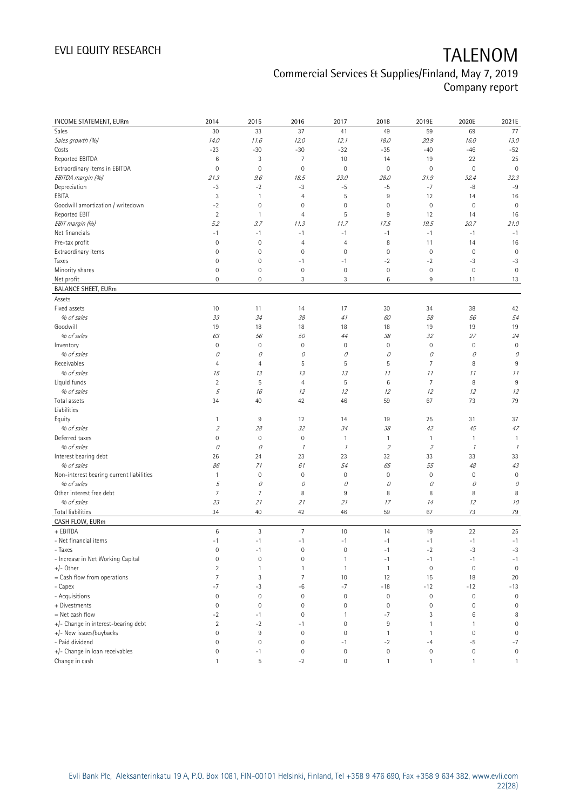| <b>INCOME STATEMENT, EURm</b>            | 2014                | 2015           | 2016                    | 2017                | 2018           | 2019E               | 2020E            | 2021E               |
|------------------------------------------|---------------------|----------------|-------------------------|---------------------|----------------|---------------------|------------------|---------------------|
| Sales                                    | 30                  | 33             | 37                      | 41                  | 49             | 59                  | 69               | 77                  |
| Sales growth (%)                         | 14.0                | 11.6           | 12.0                    | 12.1                | 18.0           | 20.9                | 16.0             | 13.0                |
| Costs                                    | $-23$               | $-30$          | $-30$                   | $-32$               | $-35$          | $-40$               | $-46$            | $-52$               |
| Reported EBITDA                          | $\,6$               | 3              | $\overline{7}$          | 10                  | 14             | 19                  | 22               | 25                  |
| Extraordinary items in EBITDA            | $\mathbf 0$         | $\mathbf 0$    | $\mathbf 0$             | $\mathbf 0$         | $\mathbf 0$    | $\mathbf 0$         | $\mathbf 0$      | $\mathbf 0$         |
| EBITDA margin (%)                        | 21.3                | 9.6            | 18.5                    | 23.0                | 28.0           | 31.9                | 32.4             | 32.3                |
| Depreciation                             | $-3$                | $-2$           | $-3$                    | $-5$                | $-5$           | $-7$                | -8               | $-9$                |
| EBITA                                    | 3                   | $\mathbf{1}$   | 4                       | 5                   | 9              | 12                  | 14               | 16                  |
| Goodwill amortization / writedown        | $-2$                | $\mathbf 0$    | $\mathbf 0$             | 0                   | $\mathbf 0$    | $\mathsf{O}\xspace$ | $\mathbb O$      | $\mathbf 0$         |
| Reported EBIT                            | $\overline{2}$      | $\overline{1}$ | 4                       | 5                   | 9              | 12                  | 14               | 16                  |
| EBIT margin (%)                          | 5.2                 | 3.7            | 11.3                    | 11.7                | 17.5           | 19.5                | 20.7             | 21.0                |
| Net financials                           | $-1$                | $-1$           | $-1$                    | $-1$                | $-1$           | $-1$                | $-1$             | $-1$                |
| Pre-tax profit                           | $\mathbf 0$         | $\mathbf 0$    | 4                       | $\overline{4}$      | 8              | 11                  | 14               | 16                  |
| Extraordinary items                      | 0                   | $\mathbf 0$    | $\mathbf 0$             | $\mathbf 0$         | $\mathbf 0$    | $\mathsf{O}\xspace$ | $\mathbb O$      | $\mathbf 0$         |
| Taxes                                    | $\mathsf{O}\xspace$ | $\mathbf 0$    | $-1$                    | $-1$                | $-2$           | $-2$                | $-3$             | $-3$                |
| Minority shares                          | $\mathsf{O}\xspace$ | $\mathbf 0$    | $\mathbf 0$             | $\mathbf 0$         | $\mathbf 0$    | $\mathbb O$         | $\mathbf 0$      | $\mathbf 0$         |
| Net profit                               | 0                   | $\mathbf 0$    | 3                       | 3                   | 6              | 9                   | 11               | 13                  |
| <b>BALANCE SHEET, EURm</b>               |                     |                |                         |                     |                |                     |                  |                     |
| Assets                                   |                     |                |                         |                     |                |                     |                  |                     |
| Fixed assets                             | 10                  | 11             | 14                      | 17                  | 30             | 34                  | 38               | 42                  |
| % of sales                               | 33                  | 34             | 38                      | 41                  | 60             | 58                  | 56               | 54                  |
| Goodwill                                 | 19                  | 18             | 18                      | 18                  | 18             | 19                  | 19               | 19                  |
| % of sales                               | 63                  | 56             | 50                      | 44                  | 38             | 32                  | 27               | 24                  |
| Inventory                                | $\mathsf{O}\xspace$ | $\mathbf 0$    | $\mathbf 0$             | $\mathbf 0$         | $\mathbf 0$    | $\mathsf{O}\xspace$ | $\mathbf 0$      | $\mathbf 0$         |
| % of sales                               | 0                   | 0              | 0                       | 0                   | 0              | 0                   | 0                | 0                   |
| Receivables                              | 4                   | $\overline{4}$ | 5                       | 5                   | 5              | $\overline{7}$      | 8                | $9\,$               |
| % of sales                               | 15                  | 13             | 13                      | 13                  | 11             | 11                  | 11               | 11                  |
| Liquid funds                             | $\overline{2}$      | 5              | 4                       | 5                   | 6              | $\overline{7}$      | 8                | 9                   |
| % of sales                               | 5                   | 16             | 12                      | 12                  | 12             | 12                  | 12               | 12                  |
| Total assets<br>Liabilities              | 34                  | 40             | 42                      | 46                  | 59             | 67                  | 73               | 79                  |
| Equity                                   | $\mathbf{1}$        | 9              | 12                      | 14                  | 19             | 25                  | 31               | 37                  |
| % of sales                               | $\mathfrak z$       | 28             | 32                      | 34                  | 38             | 42                  | 45               | 47                  |
| Deferred taxes                           | $\overline{0}$      | $\mathbf 0$    | $\mathsf{O}\xspace$     | 1                   | $\mathbf{1}$   | $\mathbf{1}$        | 1                | $\mathbf{1}$        |
| % of sales                               | 0                   | 0              | $\mathcal I$            | $\mathcal I$        | $\overline{2}$ | $\mathfrak z$       | $\mathcal{I}$    | $\mathcal I$        |
| Interest bearing debt                    | 26                  | 24             | 23                      | 23                  | 32             | 33                  | 33               | 33                  |
| % of sales                               | 86                  | 71             | 61                      | 54                  | 65             | 55                  | $48\,$           | 43                  |
| Non-interest bearing current liabilities | $\mathbf{1}$        | $\mathbf 0$    | $\mathsf{O}\xspace$     | $\mathbf 0$         | $\mathbf 0$    | $\mathbf 0$         | 0                | $\mathbf 0$         |
| % of sales                               | 5                   | 0              | 0                       | 0                   | 0              | 0                   | 0                | 0                   |
| Other interest free debt                 | 7                   | $\overline{7}$ | 8                       | 9                   | 8              | 8                   | 8                | 8                   |
| % of sales                               | 23                  | 21             | 21                      | 21                  | 17             | 14                  | 12               | 10                  |
| Total liabilities                        | 34                  | 40             | 42                      | 46                  | 59             | 67                  | 73               | 79                  |
| CASH FLOW, EURm                          |                     |                |                         |                     |                |                     |                  |                     |
| + EBITDA                                 | 6                   | $\mathfrak{Z}$ | $\overline{7}$          | 10                  | 14             | 19                  | 22               | 25                  |
| - Net financial items                    | $-1$                | $-1$           | $\mathord{\text{--}} 1$ | $^{\rm -1}$         | $-1$           | $-1$                | $^{\rm -1}$      | $-1$                |
| - Taxes                                  | $\mathsf{O}\xspace$ | $-1$           | $\mathsf{O}\xspace$     | $\mathbf 0$         | $-1$           | $-2$                | $-3$             | $-3$                |
| - Increase in Net Working Capital        | 0                   | $\mathbf 0$    | 0                       | $\mathbf{1}$        | $-1$           | $-1$                | $-1$             | $-1$                |
| $+/-$ Other                              | $\overline{2}$      | $\mathbf{1}$   | $\mathbf{1}$            | $\mathbf{1}$        | $\overline{1}$ | $\mathbb O$         | $\mathbf 0$      | $\mathbf 0$         |
| = Cash flow from operations              | $\overline{7}$      | $\sqrt{3}$     | $\overline{7}$          | 10                  | 12             | 15                  | 18               | 20                  |
| - Capex                                  | $-7$                | -3             | $-6$                    | $-7$                | $-18$          | $-12$               | $-12$            | $-13$               |
| - Acquisitions                           | $\mathsf{O}\xspace$ | $\mathbf 0$    | $\mathbf 0$             | $\mathsf{O}\xspace$ | $\mathbb O$    | $\mathbb O$         | $\mathbf 0$      | $\mathbf 0$         |
| + Divestments                            | $\mathsf{O}\xspace$ | $\mathbf 0$    | $\mathbf 0$             | $\mathsf{O}\xspace$ | $\mathbf 0$    | $\mathbb O$         | $\mathbf 0$      | $\mathbf 0$         |
| = Net cash flow                          | $-2$                | $-1$           | $\mathbf 0$             | 1                   | $-7$           | 3                   | 6                | 8                   |
| +/- Change in interest-bearing debt      | $\overline{2}$      | $-2$           | $-1$                    | $\mathsf{O}\xspace$ | $\,9$          | $\mathbf{1}$        | $\mathbf{1}$     | $\mathsf{O}\xspace$ |
| +/- New issues/buybacks                  | 0                   | 9              | $\mathbf 0$             | $\mathbf 0$         | $\overline{1}$ | $\mathbf{1}$        | $\mathbf 0$      | $\mathbf 0$         |
| - Paid dividend                          | $\mathsf{O}\xspace$ | $\mathbf 0$    | $\mathbf 0$             | $-1$                | $-2$           | $-4$                | $-5$             | $-7$                |
| +/- Change in loan receivables           | 0                   | $-1$           | $\mathbf 0$             | $\mathbf 0$         | $\mathbb O$    | $\mathsf{O}\xspace$ | $\boldsymbol{0}$ | $\mathsf{O}\xspace$ |
| Change in cash                           | $\mathbf{1}$        | $\mathsf S$    | $-2$                    | $\mathsf{O}\xspace$ | $\mathbf{1}$   | $\mathbf{1}$        | $\mathbf{1}$     | $\mathbf{1}$        |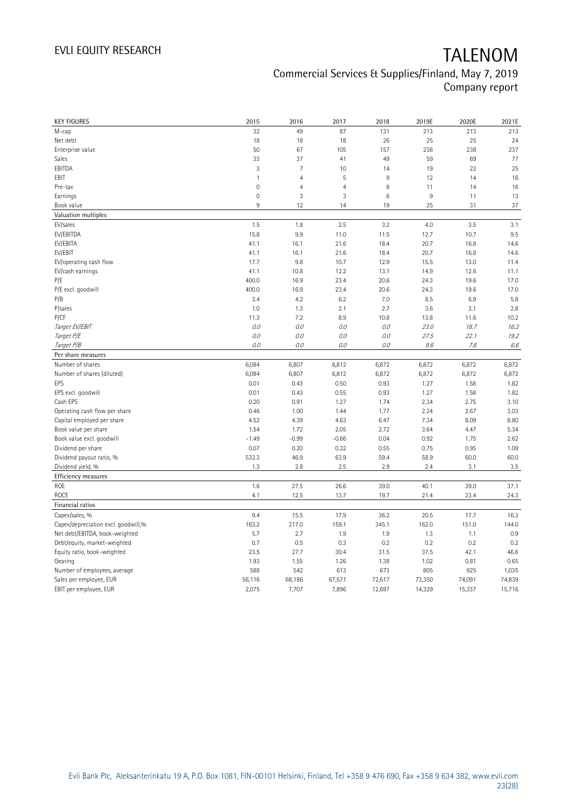| <b>KEY FIGURES</b>                  | 2015         | 2016           | 2017           | 2018   | 2019E  | 2020E  | 2021E   |
|-------------------------------------|--------------|----------------|----------------|--------|--------|--------|---------|
| М-сар                               | 32           | 49             | 87             | 131    | 213    | 213    | 213     |
| Net debt                            | 18           | 18             | 18             | 26     | 25     | 25     | 24      |
| Enterprise value                    | 50           | 67             | 105            | 157    | 238    | 238    | 237     |
| Sales                               | 33           | 37             | 41             | 49     | 59     | 69     | 77      |
| EBITDA                              | 3            | $\overline{7}$ | 10             | 14     | 19     | 22     | 25      |
| EBIT                                | $\mathbf{1}$ | $\overline{4}$ | 5              | 9      | 12     | 14     | 16      |
| Pre-tax                             | $\mathbf 0$  | $\overline{4}$ | $\overline{4}$ | 8      | 11     | 14     | 16      |
| Earnings                            | $\mathbf 0$  | $\mathbf{3}$   | 3              | 6      | $\,9$  | 11     | 13      |
| Book value                          | 9            | 12             | 14             | 19     | 25     | 31     | 37      |
| Valuation multiples                 |              |                |                |        |        |        |         |
| EV/sales                            | 1.5          | 1.8            | 2.5            | 3.2    | 4.0    | 3.5    | 3.1     |
| EV/EBITDA                           | 15.8         | 9.9            | 11.0           | 11.5   | 12.7   | 10.7   | 9.5     |
| EV/EBITA                            | 41.1         | 16.1           | 21.6           | 18.4   | 20.7   | 16.8   | 14.6    |
| EV/EBIT                             | 41.1         | 16.1           | 21.6           | 18.4   | 20.7   | 16.8   | 14.6    |
| EV/operating cash flow              | 17.7         | 9.8            | 10.7           | 12.9   | 15.5   | 13.0   | 11.4    |
| EV/cash earnings                    | 41.1         | 10.8           | 12.2           | 13.1   | 14.9   | 12.6   | 11.1    |
| P/E                                 | 400.0        | 16.9           | 23.4           | 20.6   | 24.3   | 19.6   | 17.0    |
| P/E excl. goodwill                  | 400.0        | 16.9           | 23.4           | 20.6   | 24.3   | 19.6   | 17.0    |
| P/B                                 | 3.4          | 4.2            | 6.2            | 7.0    | 8.5    | 6.9    | 5.8     |
| P/sales                             | 1.0          | 1.3            | 2.1            | 2.7    | 3.6    | 3.1    | 2.8     |
| P/CF                                | 11.3         | 7.2            | 8.9            | 10.8   | 13.8   | 11.6   | 10.2    |
| Target EV/EBIT                      | 0.0          | 0.0            | 0.0            | 0.0    | 23.0   | 18.7   | 16.2    |
| Target P/E                          | O.O          | 0.0            | 0.0            | 0.0    | 27.5   | 22.1   | 19.2    |
| Target P/B                          | $0.0$        | 0.0            | 0.0            | 0.0    | 9.6    | 7.8    | $6.6\,$ |
| Per share measures                  |              |                |                |        |        |        |         |
| Number of shares                    | 6,084        | 6,807          | 6,812          | 6,872  | 6,872  | 6,872  | 6,872   |
| Number of shares (diluted)          | 6,084        | 6,807          | 6,812          | 6,872  | 6,872  | 6,872  | 6,872   |
| EPS                                 | 0.01         | 0.43           | 0.50           | 0.93   | 1.27   | 1.58   | 1.82    |
| EPS excl. goodwill                  | 0.01         | 0.43           | 0.55           | 0.93   | 1.27   | 1.58   | 1.82    |
| Cash EPS                            | 0.20         | 0.91           | 1.27           | 1.74   | 2.34   | 2.75   | 3.10    |
| Operating cash flow per share       | 0.46         | 1.00           | 1.44           | 1.77   | 2.24   | 2.67   | 3.03    |
| Capital employed per share          | 4.52         | 4.39           | 4.63           | 6.47   | 7.34   | 8.09   | 8.80    |
| Book value per share                | 1.54         | 1.72           | 2.05           | 2.72   | 3.64   | 4.47   | 5.34    |
| Book value excl. goodwill           | $-1.49$      | $-0.99$        | $-0.66$        | 0.04   | 0.92   | 1.75   | 2.62    |
| Dividend per share                  | 0.07         | 0.20           | 0.32           | 0.55   | 0.75   | 0.95   | 1.09    |
| Dividend payout ratio, %            | 532.3        | 46.9           | 63.9           | 59.4   | 58.9   | 60.0   | 60.0    |
| Dividend yield, %                   | 1.3          | 2.8            | 2.5            | 2.9    | 2.4    | 3.1    | $3.5\,$ |
| Efficiency measures                 |              |                |                |        |        |        |         |
| <b>ROE</b>                          | 1.6          | 27.5           | 26.6           | 39.0   | 40.1   | 39.0   | 37.1    |
| <b>ROCE</b>                         | 4.1          | 12.5           | 13.7           | 19.7   | 21.4   | 23.4   | 24.3    |
| Financial ratios                    |              |                |                |        |        |        |         |
| Capex/sales, %                      | 9.4          | 15.5           | 17.9           | 36.2   | 20.5   | 17.7   | 16.3    |
| Capex/depreciation excl. goodwill,% | 163.2        | 217.0          | 159.1          | 345.1  | 162.0  | 151.0  | 144.0   |
| Net debt/EBITDA, book-weighted      | 5.7          | 2.7            | 1.9            | 1.9    | 1.3    | 1.1    | 0.9     |
| Debt/equity, market-weighted        | 0.7          | 0.5            | 0.3            | 0.2    | 0.2    | 0.2    | 0.2     |
| Equity ratio, book-weighted         | 23.5         | 27.7           | 30.4           | 31.5   | 37.5   | 42.1   | 46.6    |
| Gearing                             | 1.93         | 1.55           | 1.26           | 1.38   | 1.02   | 0.81   | 0.65    |
| Number of employees, average        | 588          | 542            | 613            | 673    | 805    | 925    | 1,035   |
| Sales per employee, EUR             | 56,116       | 68,186         | 67,571         | 72,617 | 73,350 | 74,091 | 74,839  |
| EBIT per employee, EUR              | 2,075        | 7,707          | 7,896          | 12,697 | 14,329 | 15,337 | 15,716  |
|                                     |              |                |                |        |        |        |         |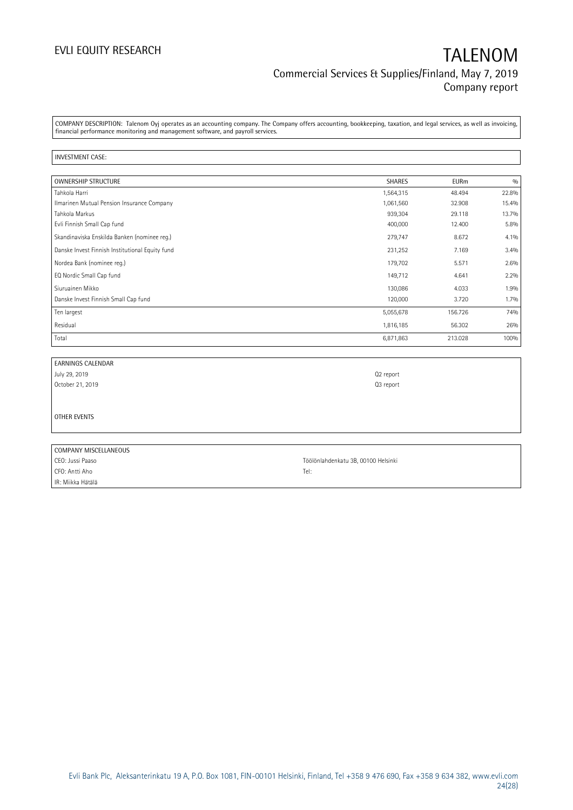COMPANY DESCRIPTION: Talenom Oyj operates as an accounting company. The Company offers accounting, bookkeeping, taxation, and legal services, as well as invoicing, financial performance monitoring and management software, and payroll services.

#### INVESTMENT CASE:

| <b>OWNERSHIP STRUCTURE</b>                      | <b>SHARES</b> | <b>EURm</b> | 0/0   |
|-------------------------------------------------|---------------|-------------|-------|
| Tahkola Harri                                   | 1,564,315     | 48.494      | 22.8% |
| Ilmarinen Mutual Pension Insurance Company      | 1,061,560     | 32.908      | 15.4% |
| Tahkola Markus                                  | 939,304       | 29.118      | 13.7% |
| Evli Finnish Small Cap fund                     | 400,000       | 12.400      | 5.8%  |
| Skandinaviska Enskilda Banken (nominee reg.)    | 279,747       | 8.672       | 4.1%  |
| Danske Invest Finnish Institutional Equity fund | 231,252       | 7.169       | 3.4%  |
| Nordea Bank (nominee reg.)                      | 179,702       | 5.571       | 2.6%  |
| EQ Nordic Small Cap fund                        | 149,712       | 4.641       | 2.2%  |
| Siuruainen Mikko                                | 130,086       | 4.033       | 1.9%  |
| Danske Invest Finnish Small Cap fund            | 120,000       | 3.720       | 1.7%  |
| Ten largest                                     | 5,055,678     | 156.726     | 74%   |
| Residual                                        | 1,816,185     | 56.302      | 26%   |
| Total                                           | 6,871,863     | 213.028     | 100%  |

| <b>EARNINGS CALENDAR</b> |                                     |
|--------------------------|-------------------------------------|
| July 29, 2019            | Q2 report                           |
| October 21, 2019         | Q3 report                           |
|                          |                                     |
|                          |                                     |
| OTHER EVENTS             |                                     |
|                          |                                     |
|                          |                                     |
| COMPANY MISCELLANEOUS    |                                     |
| CEO: Jussi Paaso         | Töölönlahdenkatu 3B, 00100 Helsinki |
| CFO: Antti Aho           | Tel:                                |

IR: Miikka Hätälä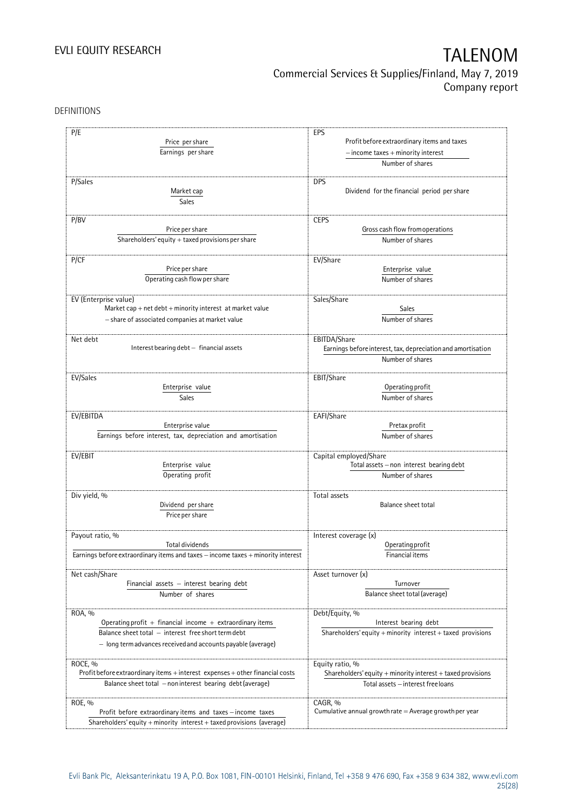DEFINITIONS

| P/E                                                                                  | EPS                                                                  |  |  |  |  |
|--------------------------------------------------------------------------------------|----------------------------------------------------------------------|--|--|--|--|
| Price per share                                                                      | Profit before extraordinary items and taxes                          |  |  |  |  |
| Earnings per share                                                                   | $-$ income taxes $+$ minority interest                               |  |  |  |  |
|                                                                                      | Number of shares                                                     |  |  |  |  |
|                                                                                      |                                                                      |  |  |  |  |
| P/Sales                                                                              | <b>DPS</b>                                                           |  |  |  |  |
| Market cap                                                                           | Dividend for the financial period per share                          |  |  |  |  |
| Sales                                                                                |                                                                      |  |  |  |  |
|                                                                                      |                                                                      |  |  |  |  |
| P/BV                                                                                 | <b>CEPS</b>                                                          |  |  |  |  |
| Price per share                                                                      | Gross cash flow from operations                                      |  |  |  |  |
| Shareholders' equity $+$ taxed provisions per share                                  | Number of shares                                                     |  |  |  |  |
|                                                                                      |                                                                      |  |  |  |  |
| P/CF                                                                                 | EV/Share                                                             |  |  |  |  |
| Price per share                                                                      | Enterprise value                                                     |  |  |  |  |
| Operating cash flow per share                                                        | Number of shares                                                     |  |  |  |  |
|                                                                                      |                                                                      |  |  |  |  |
| EV (Enterprise value)<br>Market cap + net $debt$ + minority interest at market value | Sales/Share                                                          |  |  |  |  |
|                                                                                      | Sales                                                                |  |  |  |  |
| - share of associated companies at market value                                      | Number of shares                                                     |  |  |  |  |
| Net debt                                                                             | EBITDA/Share                                                         |  |  |  |  |
| Interest bearing debt - financial assets                                             | Earnings before interest, tax, depreciation and amortisation         |  |  |  |  |
|                                                                                      | Number of shares                                                     |  |  |  |  |
|                                                                                      |                                                                      |  |  |  |  |
| EV/Sales                                                                             | EBIT/Share                                                           |  |  |  |  |
| Enterprise value                                                                     | Operating profit                                                     |  |  |  |  |
| Sales                                                                                | Number of shares                                                     |  |  |  |  |
|                                                                                      |                                                                      |  |  |  |  |
| EV/EBITDA                                                                            | EAFI/Share                                                           |  |  |  |  |
| Enterprise value                                                                     | Pretax profit                                                        |  |  |  |  |
| Earnings before interest, tax, depreciation and amortisation                         | Number of shares                                                     |  |  |  |  |
|                                                                                      |                                                                      |  |  |  |  |
| EV/EBIT                                                                              | Capital employed/Share                                               |  |  |  |  |
| Enterprise value                                                                     | Total assets - non interest bearing debt                             |  |  |  |  |
| Operating profit                                                                     | Number of shares                                                     |  |  |  |  |
|                                                                                      |                                                                      |  |  |  |  |
| Div yield, %                                                                         | Total assets                                                         |  |  |  |  |
| Dividend per share                                                                   | Balance sheet total                                                  |  |  |  |  |
| Price per share                                                                      |                                                                      |  |  |  |  |
|                                                                                      |                                                                      |  |  |  |  |
| Payout ratio, %                                                                      | Interest coverage (x)                                                |  |  |  |  |
| <b>Total dividends</b>                                                               | Operating profit                                                     |  |  |  |  |
| Earnings before extraordinary items and taxes - income taxes + minority interest     | Financial items                                                      |  |  |  |  |
| Net cash/Share                                                                       | Asset turnover (x)                                                   |  |  |  |  |
| Financial assets - interest bearing debt                                             | Turnover                                                             |  |  |  |  |
|                                                                                      |                                                                      |  |  |  |  |
| Number of shares                                                                     | Balance sheet total (average)                                        |  |  |  |  |
| ROA, %                                                                               | Debt/Equity, %                                                       |  |  |  |  |
| Operating profit + financial income + extraordinary items                            | Interest bearing debt                                                |  |  |  |  |
| Balance sheet total - interest free short term debt                                  | Shareholders' equity + minority interest + taxed provisions          |  |  |  |  |
|                                                                                      |                                                                      |  |  |  |  |
| - long term advances received and accounts payable (average)                         |                                                                      |  |  |  |  |
|                                                                                      |                                                                      |  |  |  |  |
| ROCE, %                                                                              | Equity ratio, %                                                      |  |  |  |  |
| Profit before extraordinary items + interest expenses + other financial costs        | Shareholders' equity $+$ minority interest $+$ taxed provisions      |  |  |  |  |
| Balance sheet total - non interest bearing debt (average)                            | Total assets - interest free loans                                   |  |  |  |  |
|                                                                                      |                                                                      |  |  |  |  |
| ROE, %<br>Profit before extraordinary items and taxes - income taxes                 | CAGR, %<br>Cumulative annual growth rate $=$ Average growth per year |  |  |  |  |
|                                                                                      |                                                                      |  |  |  |  |
| Shareholders' equity + minority interest + taxed provisions (average)                |                                                                      |  |  |  |  |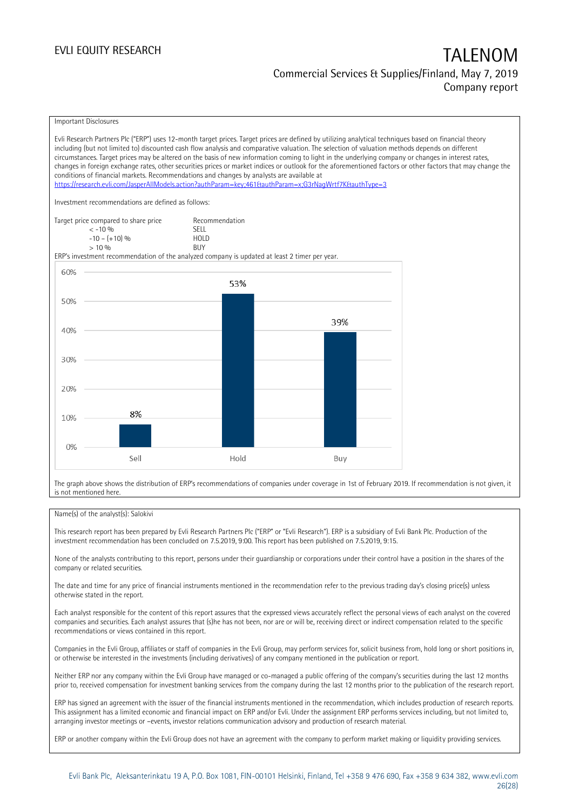#### Important Disclosures

Evli Research Partners Plc ("ERP") uses 12-month target prices. Target prices are defined by utilizing analytical techniques based on financial theory including (but not limited to) discounted cash flow analysis and comparative valuation. The selection of valuation methods depends on different circumstances. Target prices may be altered on the basis of new information coming to light in the underlying company or changes in interest rates, changes in foreign exchange rates, other securities prices or market indices or outlook for the aforementioned factors or other factors that may change the conditions of financial markets. Recommendations and changes by analysts are available at <https://research.evli.com/JasperAllModels.action?authParam=key;461&authParam=x;G3rNagWrtf7K&authType=3> Investment recommendations are defined as follows: Target price compared to share price Recommendation<br>  $\leq -10\%$  $\langle 5, 10, 10 \rangle$  SELL<br>  $\langle 10, 10, 10 \rangle$  SELL<br>  $\langle 10, 10, 10 \rangle$  $-10 - (+10) \%$  HOL<br>  $> 10 \%$  RIJY  $> 10\%$ ERP's investment recommendation of the analyzed company is updated at least 2 timer per year. 60% 53% 50% 39% 40% 30% 20% 8% 10%  $0%$ Sell Hold Buy

The graph above shows the distribution of ERP's recommendations of companies under coverage in 1st of February 2019. If recommendation is not given, it is not mentioned here.

#### Name(s) of the analyst(s): Salokivi

This research report has been prepared by Evli Research Partners Plc ("ERP" or "Evli Research"). ERP is a subsidiary of Evli Bank Plc. Production of the investment recommendation has been concluded on 7.5.2019, 9:00. This report has been published on 7.5.2019, 9:15.

None of the analysts contributing to this report, persons under their guardianship or corporations under their control have a position in the shares of the company or related securities.

The date and time for any price of financial instruments mentioned in the recommendation refer to the previous trading day's closing price(s) unless otherwise stated in the report.

Each analyst responsible for the content of this report assures that the expressed views accurately reflect the personal views of each analyst on the covered companies and securities. Each analyst assures that (s)he has not been, nor are or will be, receiving direct or indirect compensation related to the specific recommendations or views contained in this report.

Companies in the Evli Group, affiliates or staff of companies in the Evli Group, may perform services for, solicit business from, hold long or short positions in, or otherwise be interested in the investments (including derivatives) of any company mentioned in the publication or report.

Neither ERP nor any company within the Evli Group have managed or co-managed a public offering of the company's securities during the last 12 months prior to, received compensation for investment banking services from the company during the last 12 months prior to the publication of the research report.

ERP has signed an agreement with the issuer of the financial instruments mentioned in the recommendation, which includes production of research reports. This assignment has a limited economic and financial impact on ERP and/or Evli. Under the assignment ERP performs services including, but not limited to, arranging investor meetings or –events, investor relations communication advisory and production of research material.

ERP or another company within the Evli Group does not have an agreement with the company to perform market making or liquidity providing services.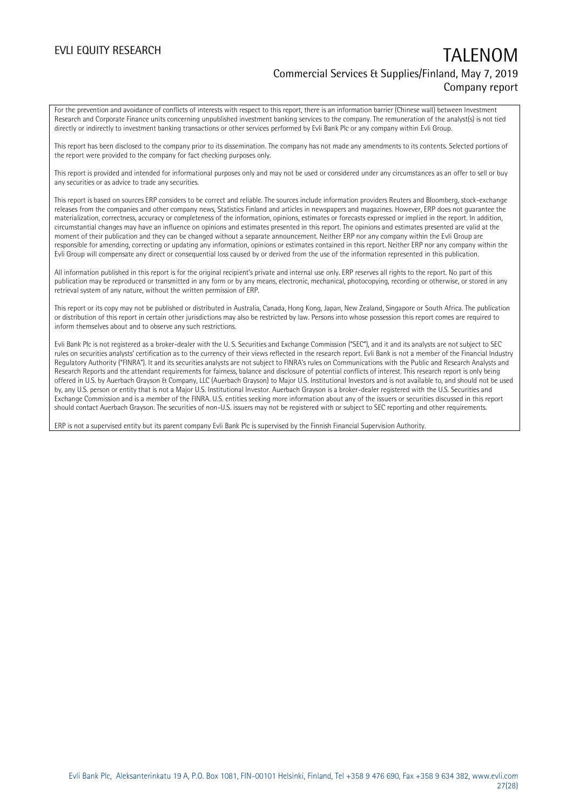For the prevention and avoidance of conflicts of interests with respect to this report, there is an information barrier (Chinese wall) between Investment Research and Corporate Finance units concerning unpublished investment banking services to the company. The remuneration of the analyst(s) is not tied directly or indirectly to investment banking transactions or other services performed by Evli Bank Plc or any company within Evli Group.

This report has been disclosed to the company prior to its dissemination. The company has not made any amendments to its contents. Selected portions of the report were provided to the company for fact checking purposes only.

This report is provided and intended for informational purposes only and may not be used or considered under any circumstances as an offer to sell or buy any securities or as advice to trade any securities.

This report is based on sources ERP considers to be correct and reliable. The sources include information providers Reuters and Bloomberg, stock-exchange releases from the companies and other company news, Statistics Finland and articles in newspapers and magazines. However, ERP does not guarantee the materialization, correctness, accuracy or completeness of the information, opinions, estimates or forecasts expressed or implied in the report. In addition, circumstantial changes may have an influence on opinions and estimates presented in this report. The opinions and estimates presented are valid at the moment of their publication and they can be changed without a separate announcement. Neither ERP nor any company within the Evli Group are responsible for amending, correcting or updating any information, opinions or estimates contained in this report. Neither ERP nor any company within the Evli Group will compensate any direct or consequential loss caused by or derived from the use of the information represented in this publication.

All information published in this report is for the original recipient's private and internal use only. ERP reserves all rights to the report. No part of this publication may be reproduced or transmitted in any form or by any means, electronic, mechanical, photocopying, recording or otherwise, or stored in any retrieval system of any nature, without the written permission of ERP.

This report or its copy may not be published or distributed in Australia, Canada, Hong Kong, Japan, New Zealand, Singapore or South Africa. The publication or distribution of this report in certain other jurisdictions may also be restricted by law. Persons into whose possession this report comes are required to inform themselves about and to observe any such restrictions.

Evli Bank Plc is not registered as a broker-dealer with the U. S. Securities and Exchange Commission ("SEC"), and it and its analysts are not subject to SEC rules on securities analysts' certification as to the currency of their views reflected in the research report. Evli Bank is not a member of the Financial Industry Regulatory Authority ("FINRA"). It and its securities analysts are not subject to FINRA's rules on Communications with the Public and Research Analysts and Research Reports and the attendant requirements for fairness, balance and disclosure of potential conflicts of interest. This research report is only being offered in U.S. by Auerbach Grayson & Company, LLC (Auerbach Grayson) to Major U.S. Institutional Investors and is not available to, and should not be used by, any U.S. person or entity that is not a Major U.S. Institutional Investor. Auerbach Grayson is a broker-dealer registered with the U.S. Securities and Exchange Commission and is a member of the FINRA. U.S. entities seeking more information about any of the issuers or securities discussed in this report should contact Auerbach Grayson. The securities of non-U.S. issuers may not be registered with or subject to SEC reporting and other requirements.

ERP is not a supervised entity but its parent company Evli Bank Plc is supervised by the Finnish Financial Supervision Authority.